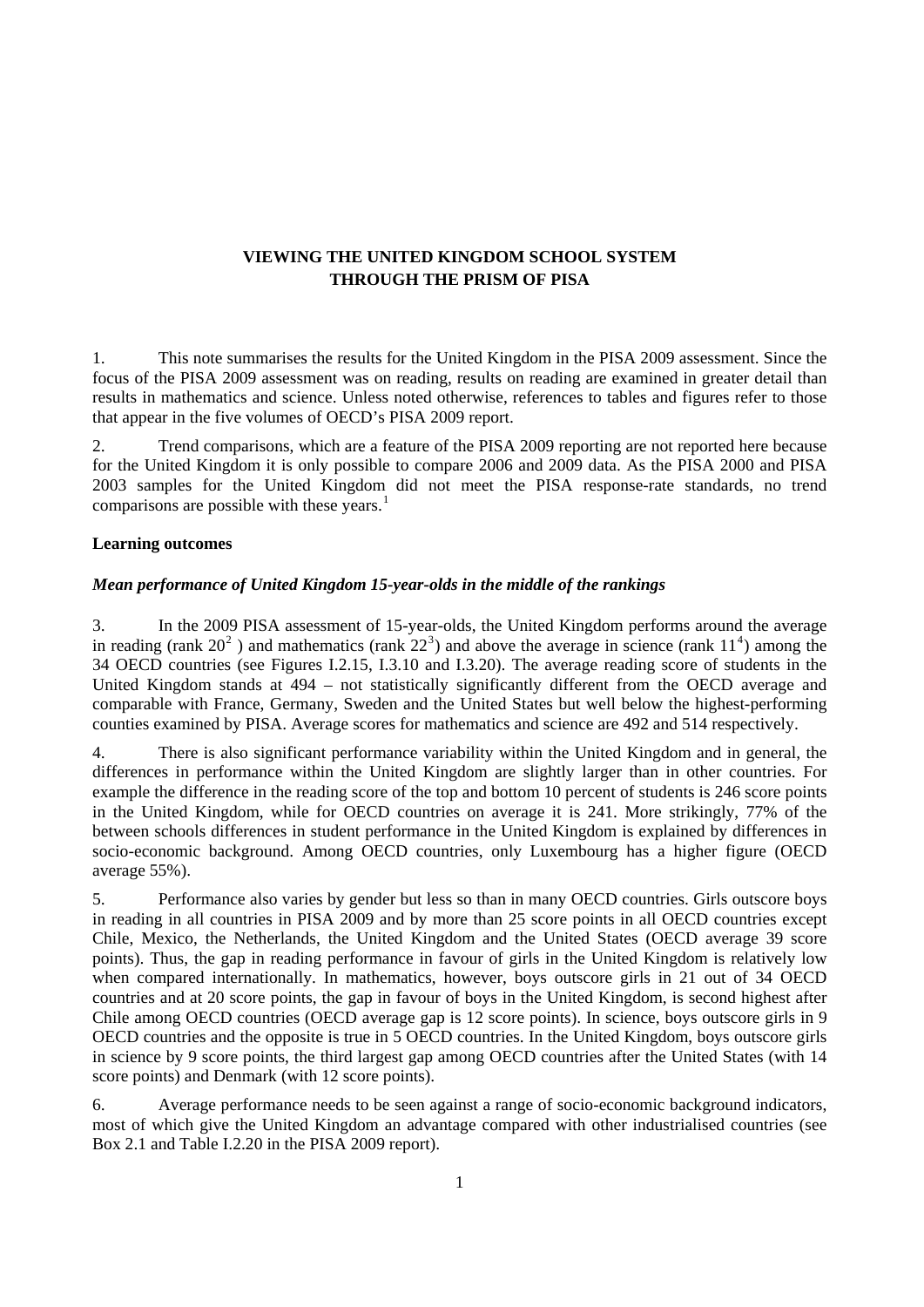# **VIEWING THE UNITED KINGDOM SCHOOL SYSTEM THROUGH THE PRISM OF PISA**

1. This note summarises the results for the United Kingdom in the PISA 2009 assessment. Since the focus of the PISA 2009 assessment was on reading, results on reading are examined in greater detail than results in mathematics and science. Unless noted otherwise, references to tables and figures refer to those that appear in the five volumes of OECD's PISA 2009 report.

2. Trend comparisons, which are a feature of the PISA 2009 reporting are not reported here because for the United Kingdom it is only possible to compare 2006 and 2009 data. As the PISA 2000 and PISA 2003 samples for the United Kingdom did not meet the PISA response-rate standards, no trend comparisons are possible with these years.<sup>[1](#page-19-0)</sup>

# **Learning outcomes**

# *Mean performance of United Kingdom 15-year-olds in the middle of the rankings*

3. In the 2009 PISA assessment of 15-year-olds, the United Kingdom performs around the average in reading (rank  $20^2$  $20^2$ ) and mathematics (rank  $22^3$  $22^3$ ) and above the average in science (rank  $11^4$  $11^4$ ) among the 34 OECD countries (see Figures I.2.15, I.3.10 and I.3.20). The average reading score of students in the United Kingdom stands at 494 – not statistically significantly different from the OECD average and comparable with France, Germany, Sweden and the United States but well below the highest-performing counties examined by PISA. Average scores for mathematics and science are 492 and 514 respectively.

4. There is also significant performance variability within the United Kingdom and in general, the differences in performance within the United Kingdom are slightly larger than in other countries. For example the difference in the reading score of the top and bottom 10 percent of students is 246 score points in the United Kingdom, while for OECD countries on average it is 241. More strikingly, 77% of the between schools differences in student performance in the United Kingdom is explained by differences in socio-economic background. Among OECD countries, only Luxembourg has a higher figure (OECD average 55%).

5. Performance also varies by gender but less so than in many OECD countries. Girls outscore boys in reading in all countries in PISA 2009 and by more than 25 score points in all OECD countries except Chile, Mexico, the Netherlands, the United Kingdom and the United States (OECD average 39 score points). Thus, the gap in reading performance in favour of girls in the United Kingdom is relatively low when compared internationally. In mathematics, however, boys outscore girls in 21 out of 34 OECD countries and at 20 score points, the gap in favour of boys in the United Kingdom, is second highest after Chile among OECD countries (OECD average gap is 12 score points). In science, boys outscore girls in 9 OECD countries and the opposite is true in 5 OECD countries. In the United Kingdom, boys outscore girls in science by 9 score points, the third largest gap among OECD countries after the United States (with 14 score points) and Denmark (with 12 score points).

6. Average performance needs to be seen against a range of socio-economic background indicators, most of which give the United Kingdom an advantage compared with other industrialised countries (see Box 2.1 and Table I.2.20 in the PISA 2009 report).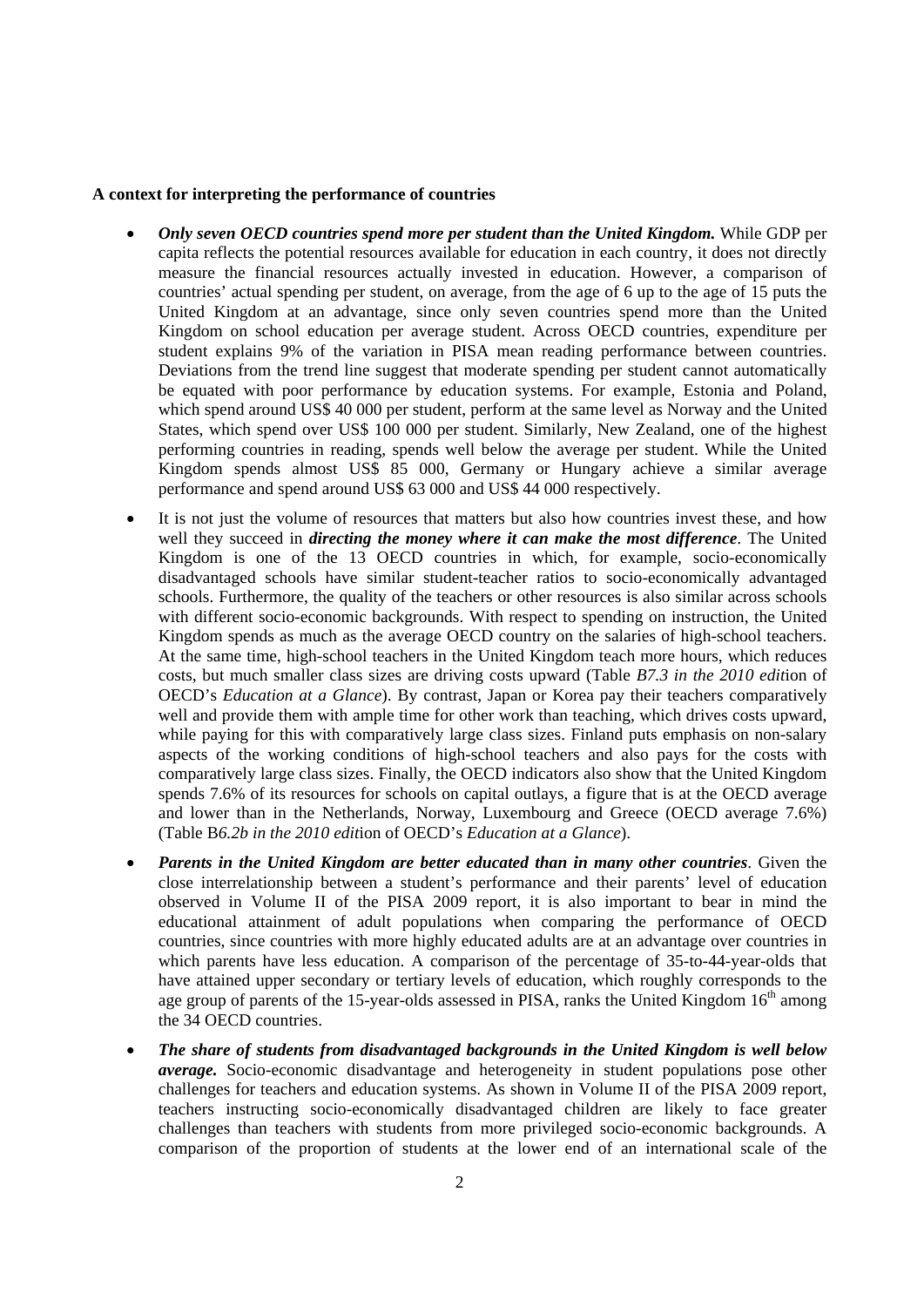## **A context for interpreting the performance of countries**

- *Only seven OECD countries spend more per student than the United Kingdom.* While GDP per capita reflects the potential resources available for education in each country, it does not directly measure the financial resources actually invested in education. However, a comparison of countries' actual spending per student, on average, from the age of 6 up to the age of 15 puts the United Kingdom at an advantage, since only seven countries spend more than the United Kingdom on school education per average student. Across OECD countries, expenditure per student explains 9% of the variation in PISA mean reading performance between countries. Deviations from the trend line suggest that moderate spending per student cannot automatically be equated with poor performance by education systems. For example, Estonia and Poland, which spend around US\$ 40 000 per student, perform at the same level as Norway and the United States, which spend over US\$ 100 000 per student. Similarly, New Zealand, one of the highest performing countries in reading, spends well below the average per student. While the United Kingdom spends almost US\$ 85 000, Germany or Hungary achieve a similar average performance and spend around US\$ 63 000 and US\$ 44 000 respectively.
- It is not just the volume of resources that matters but also how countries invest these, and how well they succeed in *directing the money where it can make the most difference*. The United Kingdom is one of the 13 OECD countries in which, for example, socio-economically disadvantaged schools have similar student-teacher ratios to socio-economically advantaged schools. Furthermore, the quality of the teachers or other resources is also similar across schools with different socio-economic backgrounds. With respect to spending on instruction, the United Kingdom spends as much as the average OECD country on the salaries of high-school teachers. At the same time, high-school teachers in the United Kingdom teach more hours, which reduces costs, but much smaller class sizes are driving costs upward (Table *B7.3 in the 2010 edit*ion of OECD's *Education at a Glance*). By contrast, Japan or Korea pay their teachers comparatively well and provide them with ample time for other work than teaching, which drives costs upward, while paying for this with comparatively large class sizes. Finland puts emphasis on non-salary aspects of the working conditions of high-school teachers and also pays for the costs with comparatively large class sizes. Finally, the OECD indicators also show that the United Kingdom spends 7.6% of its resources for schools on capital outlays, a figure that is at the OECD average and lower than in the Netherlands, Norway, Luxembourg and Greece (OECD average 7.6%) (Table B*6.2b in the 2010 edit*ion of OECD's *Education at a Glance*).
- *Parents in the United Kingdom are better educated than in many other countries*. Given the close interrelationship between a student's performance and their parents' level of education observed in Volume II of the PISA 2009 report, it is also important to bear in mind the educational attainment of adult populations when comparing the performance of OECD countries, since countries with more highly educated adults are at an advantage over countries in which parents have less education. A comparison of the percentage of 35-to-44-year-olds that have attained upper secondary or tertiary levels of education, which roughly corresponds to the age group of parents of the 15-year-olds assessed in PISA, ranks the United Kingdom  $16<sup>th</sup>$  among the 34 OECD countries.
- *The share of students from disadvantaged backgrounds in the United Kingdom is well below average.* Socio-economic disadvantage and heterogeneity in student populations pose other challenges for teachers and education systems. As shown in Volume II of the PISA 2009 report, teachers instructing socio-economically disadvantaged children are likely to face greater challenges than teachers with students from more privileged socio-economic backgrounds. A comparison of the proportion of students at the lower end of an international scale of the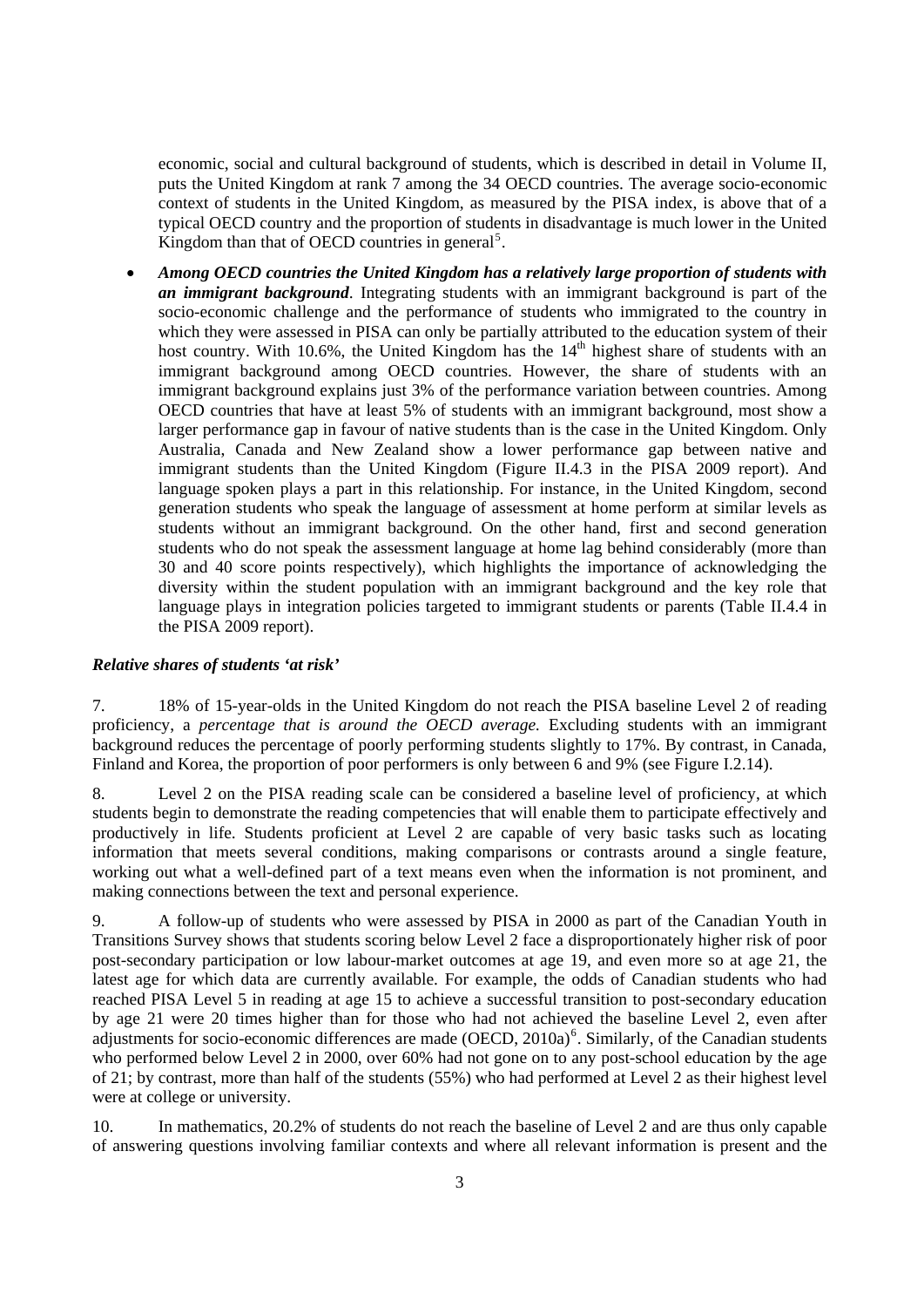economic, social and cultural background of students, which is described in detail in Volume II, puts the United Kingdom at rank 7 among the 34 OECD countries. The average socio-economic context of students in the United Kingdom, as measured by the PISA index, is above that of a typical OECD country and the proportion of students in disadvantage is much lower in the United Kingdom than that of OECD countries in general<sup>5</sup>.

• *Among OECD countries the United Kingdom has a relatively large proportion of students with an immigrant background*. Integrating students with an immigrant background is part of the socio-economic challenge and the performance of students who immigrated to the country in which they were assessed in PISA can only be partially attributed to the education system of their host country. With 10.6%, the United Kingdom has the  $14<sup>th</sup>$  highest share of students with an immigrant background among OECD countries. However, the share of students with an immigrant background explains just 3% of the performance variation between countries. Among OECD countries that have at least 5% of students with an immigrant background, most show a larger performance gap in favour of native students than is the case in the United Kingdom. Only Australia, Canada and New Zealand show a lower performance gap between native and immigrant students than the United Kingdom (Figure II.4.3 in the PISA 2009 report). And language spoken plays a part in this relationship. For instance, in the United Kingdom, second generation students who speak the language of assessment at home perform at similar levels as students without an immigrant background. On the other hand, first and second generation students who do not speak the assessment language at home lag behind considerably (more than 30 and 40 score points respectively), which highlights the importance of acknowledging the diversity within the student population with an immigrant background and the key role that language plays in integration policies targeted to immigrant students or parents (Table II.4.4 in the PISA 2009 report).

### *Relative shares of students 'at risk'*

7. 18% of 15-year-olds in the United Kingdom do not reach the PISA baseline Level 2 of reading proficiency, a *percentage that is around the OECD average.* Excluding students with an immigrant background reduces the percentage of poorly performing students slightly to 17%. By contrast, in Canada, Finland and Korea, the proportion of poor performers is only between 6 and 9% (see Figure I.2.14).

8. Level 2 on the PISA reading scale can be considered a baseline level of proficiency, at which students begin to demonstrate the reading competencies that will enable them to participate effectively and productively in life. Students proficient at Level 2 are capable of very basic tasks such as locating information that meets several conditions, making comparisons or contrasts around a single feature, working out what a well-defined part of a text means even when the information is not prominent, and making connections between the text and personal experience.

9. A follow-up of students who were assessed by PISA in 2000 as part of the Canadian Youth in Transitions Survey shows that students scoring below Level 2 face a disproportionately higher risk of poor post-secondary participation or low labour-market outcomes at age 19, and even more so at age 21, the latest age for which data are currently available. For example, the odds of Canadian students who had reached PISA Level 5 in reading at age 15 to achieve a successful transition to post-secondary education by age 21 were 20 times higher than for those who had not achieved the baseline Level 2, even after adjustments for socio-economic differences are made (OECD, 2010a)<sup>[6](#page-19-1)</sup>. Similarly, of the Canadian students who performed below Level 2 in 2000, over 60% had not gone on to any post-school education by the age of 21; by contrast, more than half of the students (55%) who had performed at Level 2 as their highest level were at college or university.

10. In mathematics, 20.2% of students do not reach the baseline of Level 2 and are thus only capable of answering questions involving familiar contexts and where all relevant information is present and the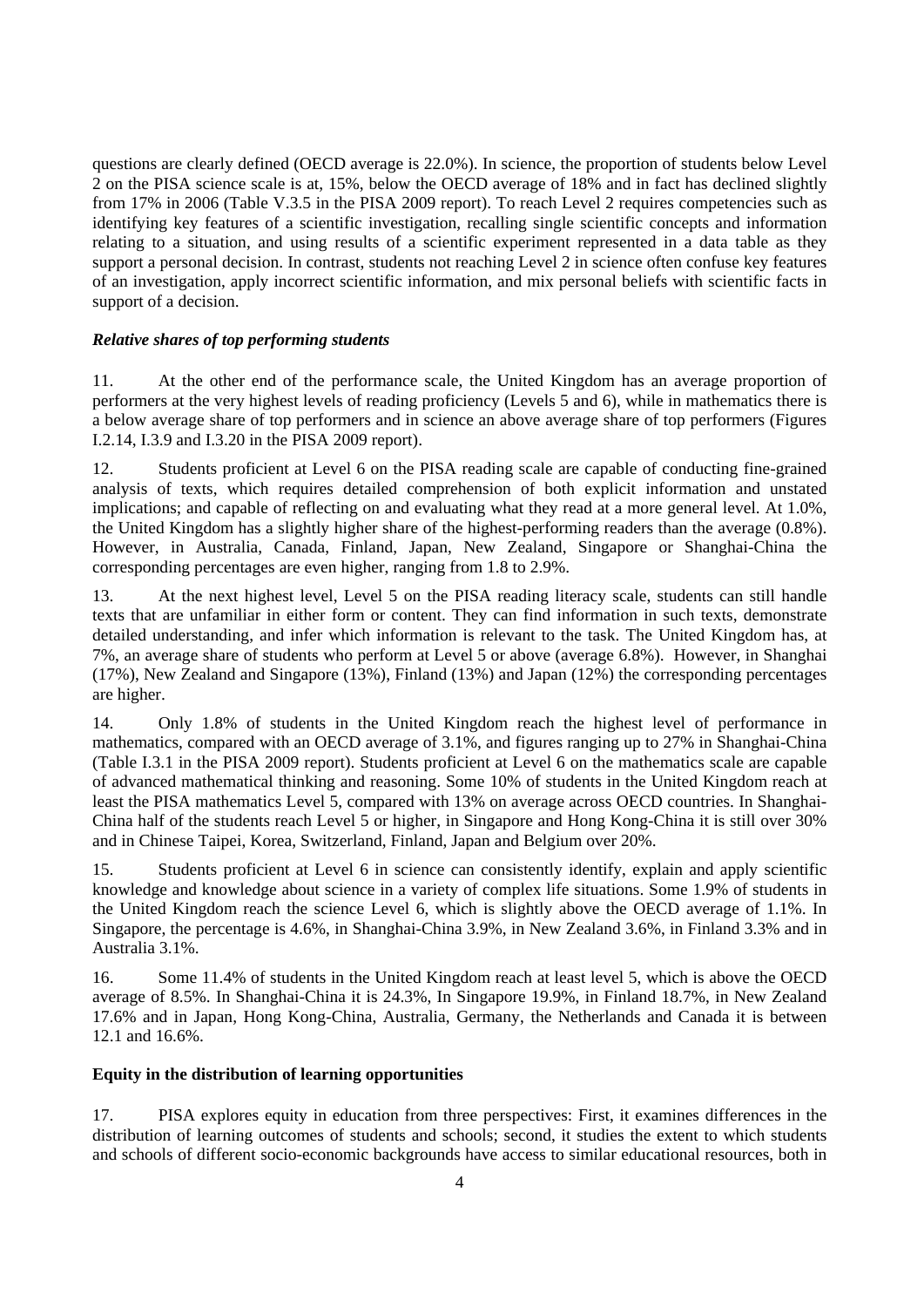questions are clearly defined (OECD average is 22.0%). In science, the proportion of students below Level 2 on the PISA science scale is at, 15%, below the OECD average of 18% and in fact has declined slightly from 17% in 2006 (Table V.3.5 in the PISA 2009 report). To reach Level 2 requires competencies such as identifying key features of a scientific investigation, recalling single scientific concepts and information relating to a situation, and using results of a scientific experiment represented in a data table as they support a personal decision. In contrast, students not reaching Level 2 in science often confuse key features of an investigation, apply incorrect scientific information, and mix personal beliefs with scientific facts in support of a decision.

### *Relative shares of top performing students*

11. At the other end of the performance scale, the United Kingdom has an average proportion of performers at the very highest levels of reading proficiency (Levels 5 and 6), while in mathematics there is a below average share of top performers and in science an above average share of top performers (Figures I.2.14, I.3.9 and I.3.20 in the PISA 2009 report).

12. Students proficient at Level 6 on the PISA reading scale are capable of conducting fine-grained analysis of texts, which requires detailed comprehension of both explicit information and unstated implications; and capable of reflecting on and evaluating what they read at a more general level. At 1.0%, the United Kingdom has a slightly higher share of the highest-performing readers than the average (0.8%). However, in Australia, Canada, Finland, Japan, New Zealand, Singapore or Shanghai-China the corresponding percentages are even higher, ranging from 1.8 to 2.9%.

13. At the next highest level, Level 5 on the PISA reading literacy scale, students can still handle texts that are unfamiliar in either form or content. They can find information in such texts, demonstrate detailed understanding, and infer which information is relevant to the task. The United Kingdom has, at 7%, an average share of students who perform at Level 5 or above (average 6.8%). However, in Shanghai (17%), New Zealand and Singapore (13%), Finland (13%) and Japan (12%) the corresponding percentages are higher.

14. Only 1.8% of students in the United Kingdom reach the highest level of performance in mathematics, compared with an OECD average of 3.1%, and figures ranging up to 27% in Shanghai-China (Table I.3.1 in the PISA 2009 report). Students proficient at Level 6 on the mathematics scale are capable of advanced mathematical thinking and reasoning. Some 10% of students in the United Kingdom reach at least the PISA mathematics Level 5, compared with 13% on average across OECD countries. In Shanghai-China half of the students reach Level 5 or higher, in Singapore and Hong Kong-China it is still over 30% and in Chinese Taipei, Korea, Switzerland, Finland, Japan and Belgium over 20%.

15. Students proficient at Level 6 in science can consistently identify, explain and apply scientific knowledge and knowledge about science in a variety of complex life situations. Some 1.9% of students in the United Kingdom reach the science Level 6, which is slightly above the OECD average of 1.1%. In Singapore, the percentage is 4.6%, in Shanghai-China 3.9%, in New Zealand 3.6%, in Finland 3.3% and in Australia 3.1%.

16. Some 11.4% of students in the United Kingdom reach at least level 5, which is above the OECD average of 8.5%. In Shanghai-China it is 24.3%, In Singapore 19.9%, in Finland 18.7%, in New Zealand 17.6% and in Japan, Hong Kong-China, Australia, Germany, the Netherlands and Canada it is between 12.1 and 16.6%.

### **Equity in the distribution of learning opportunities**

17. PISA explores equity in education from three perspectives: First, it examines differences in the distribution of learning outcomes of students and schools; second, it studies the extent to which students and schools of different socio-economic backgrounds have access to similar educational resources, both in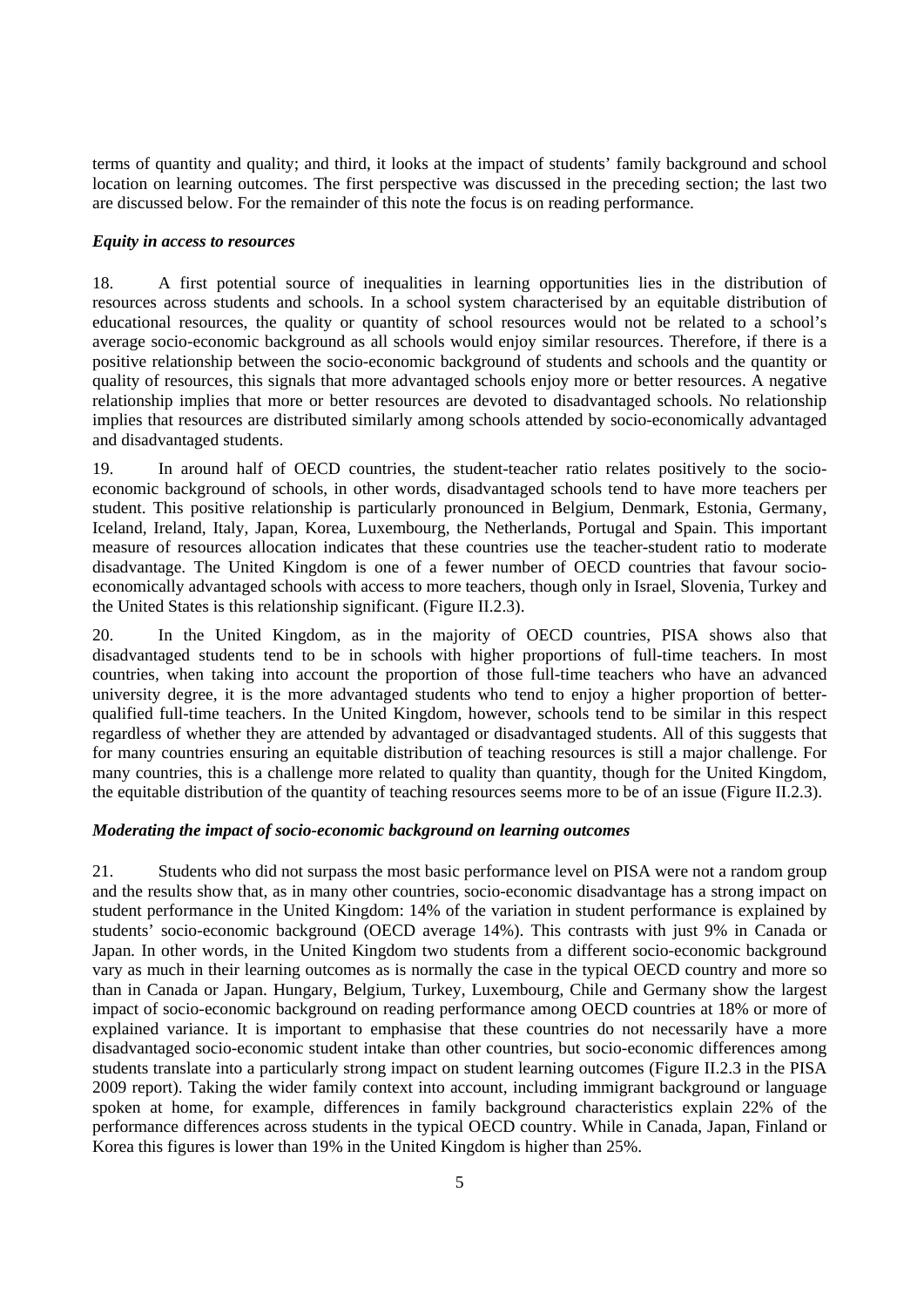terms of quantity and quality; and third, it looks at the impact of students' family background and school location on learning outcomes. The first perspective was discussed in the preceding section; the last two are discussed below. For the remainder of this note the focus is on reading performance.

### *Equity in access to resources*

18. A first potential source of inequalities in learning opportunities lies in the distribution of resources across students and schools. In a school system characterised by an equitable distribution of educational resources, the quality or quantity of school resources would not be related to a school's average socio-economic background as all schools would enjoy similar resources. Therefore, if there is a positive relationship between the socio-economic background of students and schools and the quantity or quality of resources, this signals that more advantaged schools enjoy more or better resources. A negative relationship implies that more or better resources are devoted to disadvantaged schools. No relationship implies that resources are distributed similarly among schools attended by socio-economically advantaged and disadvantaged students.

19. In around half of OECD countries, the student-teacher ratio relates positively to the socioeconomic background of schools, in other words, disadvantaged schools tend to have more teachers per student. This positive relationship is particularly pronounced in Belgium, Denmark, Estonia, Germany, Iceland, Ireland, Italy, Japan, Korea, Luxembourg, the Netherlands, Portugal and Spain. This important measure of resources allocation indicates that these countries use the teacher-student ratio to moderate disadvantage. The United Kingdom is one of a fewer number of OECD countries that favour socioeconomically advantaged schools with access to more teachers, though only in Israel, Slovenia, Turkey and the United States is this relationship significant. (Figure II.2.3).

20. In the United Kingdom, as in the majority of OECD countries, PISA shows also that disadvantaged students tend to be in schools with higher proportions of full-time teachers. In most countries, when taking into account the proportion of those full-time teachers who have an advanced university degree, it is the more advantaged students who tend to enjoy a higher proportion of betterqualified full-time teachers. In the United Kingdom, however, schools tend to be similar in this respect regardless of whether they are attended by advantaged or disadvantaged students. All of this suggests that for many countries ensuring an equitable distribution of teaching resources is still a major challenge. For many countries, this is a challenge more related to quality than quantity, though for the United Kingdom, the equitable distribution of the quantity of teaching resources seems more to be of an issue (Figure II.2.3).

#### *Moderating the impact of socio-economic background on learning outcomes*

21. Students who did not surpass the most basic performance level on PISA were not a random group and the results show that, as in many other countries, socio-economic disadvantage has a strong impact on student performance in the United Kingdom: 14% of the variation in student performance is explained by students' socio-economic background (OECD average 14%). This contrasts with just 9% in Canada or Japan*.* In other words, in the United Kingdom two students from a different socio-economic background vary as much in their learning outcomes as is normally the case in the typical OECD country and more so than in Canada or Japan. Hungary, Belgium, Turkey, Luxembourg, Chile and Germany show the largest impact of socio-economic background on reading performance among OECD countries at 18% or more of explained variance. It is important to emphasise that these countries do not necessarily have a more disadvantaged socio-economic student intake than other countries, but socio-economic differences among students translate into a particularly strong impact on student learning outcomes (Figure II.2.3 in the PISA 2009 report). Taking the wider family context into account, including immigrant background or language spoken at home, for example, differences in family background characteristics explain 22% of the performance differences across students in the typical OECD country. While in Canada, Japan, Finland or Korea this figures is lower than 19% in the United Kingdom is higher than 25%.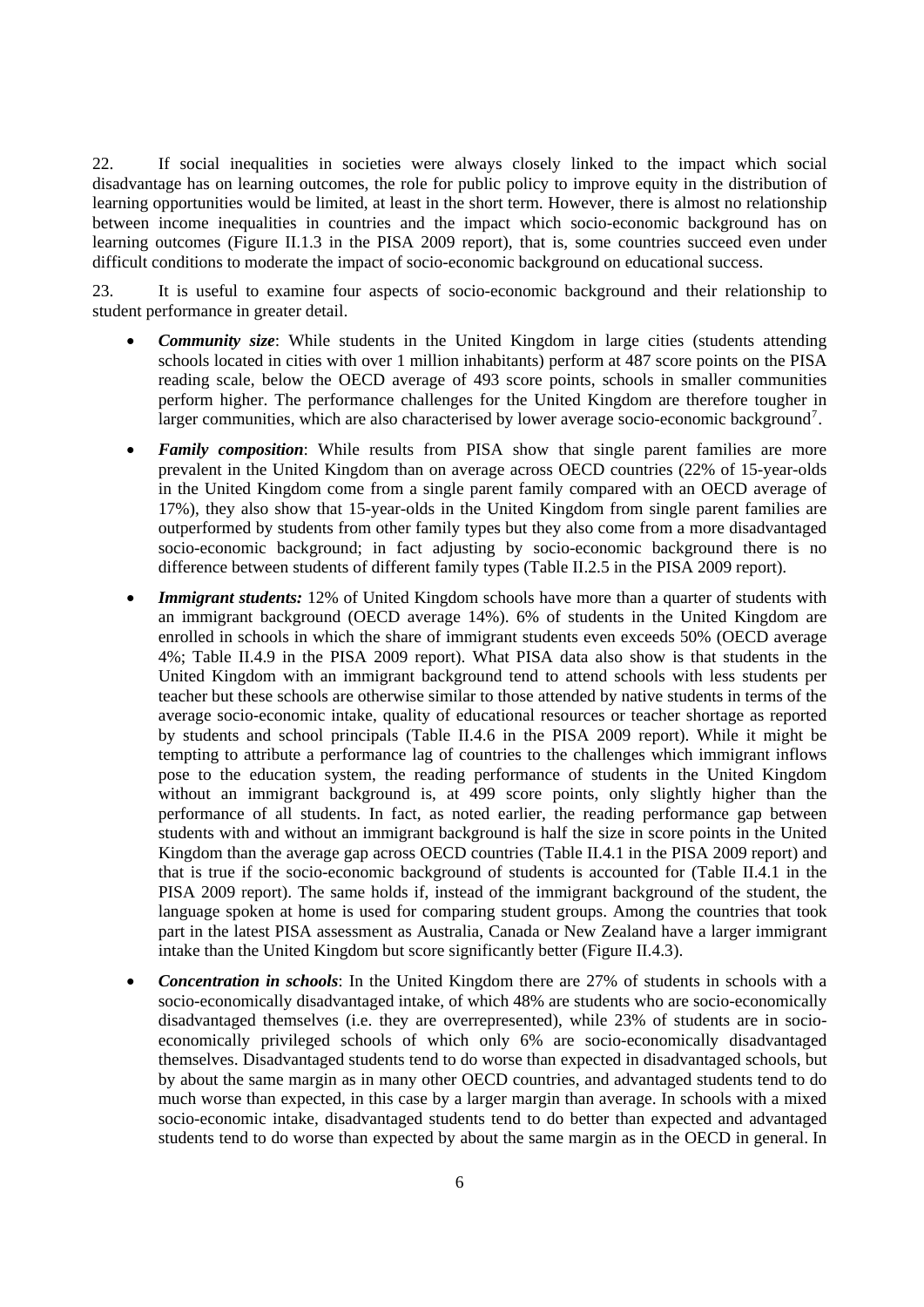22. If social inequalities in societies were always closely linked to the impact which social disadvantage has on learning outcomes, the role for public policy to improve equity in the distribution of learning opportunities would be limited, at least in the short term. However, there is almost no relationship between income inequalities in countries and the impact which socio-economic background has on learning outcomes (Figure II.1.3 in the PISA 2009 report), that is, some countries succeed even under difficult conditions to moderate the impact of socio-economic background on educational success.

23. It is useful to examine four aspects of socio-economic background and their relationship to student performance in greater detail.

- *Community size*: While students in the United Kingdom in large cities (students attending schools located in cities with over 1 million inhabitants) perform at 487 score points on the PISA reading scale, below the OECD average of 493 score points, schools in smaller communities perform higher. The performance challenges for the United Kingdom are therefore tougher in larger communities, which are also characterised by lower average socio-economic background<sup>[7](#page-19-1)</sup>.
- **Family composition:** While results from PISA show that single parent families are more prevalent in the United Kingdom than on average across OECD countries (22% of 15-year-olds in the United Kingdom come from a single parent family compared with an OECD average of 17%), they also show that 15-year-olds in the United Kingdom from single parent families are outperformed by students from other family types but they also come from a more disadvantaged socio-economic background; in fact adjusting by socio-economic background there is no difference between students of different family types (Table II.2.5 in the PISA 2009 report).
- *Immigrant students:* 12% of United Kingdom schools have more than a quarter of students with an immigrant background (OECD average 14%). 6% of students in the United Kingdom are enrolled in schools in which the share of immigrant students even exceeds 50% (OECD average 4%; Table II.4.9 in the PISA 2009 report). What PISA data also show is that students in the United Kingdom with an immigrant background tend to attend schools with less students per teacher but these schools are otherwise similar to those attended by native students in terms of the average socio-economic intake, quality of educational resources or teacher shortage as reported by students and school principals (Table II.4.6 in the PISA 2009 report). While it might be tempting to attribute a performance lag of countries to the challenges which immigrant inflows pose to the education system, the reading performance of students in the United Kingdom without an immigrant background is, at 499 score points, only slightly higher than the performance of all students. In fact, as noted earlier, the reading performance gap between students with and without an immigrant background is half the size in score points in the United Kingdom than the average gap across OECD countries (Table II.4.1 in the PISA 2009 report) and that is true if the socio-economic background of students is accounted for (Table II.4.1 in the PISA 2009 report). The same holds if, instead of the immigrant background of the student, the language spoken at home is used for comparing student groups. Among the countries that took part in the latest PISA assessment as Australia, Canada or New Zealand have a larger immigrant intake than the United Kingdom but score significantly better (Figure II.4.3).
- *Concentration in schools*: In the United Kingdom there are 27% of students in schools with a socio-economically disadvantaged intake, of which 48% are students who are socio-economically disadvantaged themselves (i.e. they are overrepresented), while 23% of students are in socioeconomically privileged schools of which only 6% are socio-economically disadvantaged themselves. Disadvantaged students tend to do worse than expected in disadvantaged schools, but by about the same margin as in many other OECD countries, and advantaged students tend to do much worse than expected, in this case by a larger margin than average. In schools with a mixed socio-economic intake, disadvantaged students tend to do better than expected and advantaged students tend to do worse than expected by about the same margin as in the OECD in general. In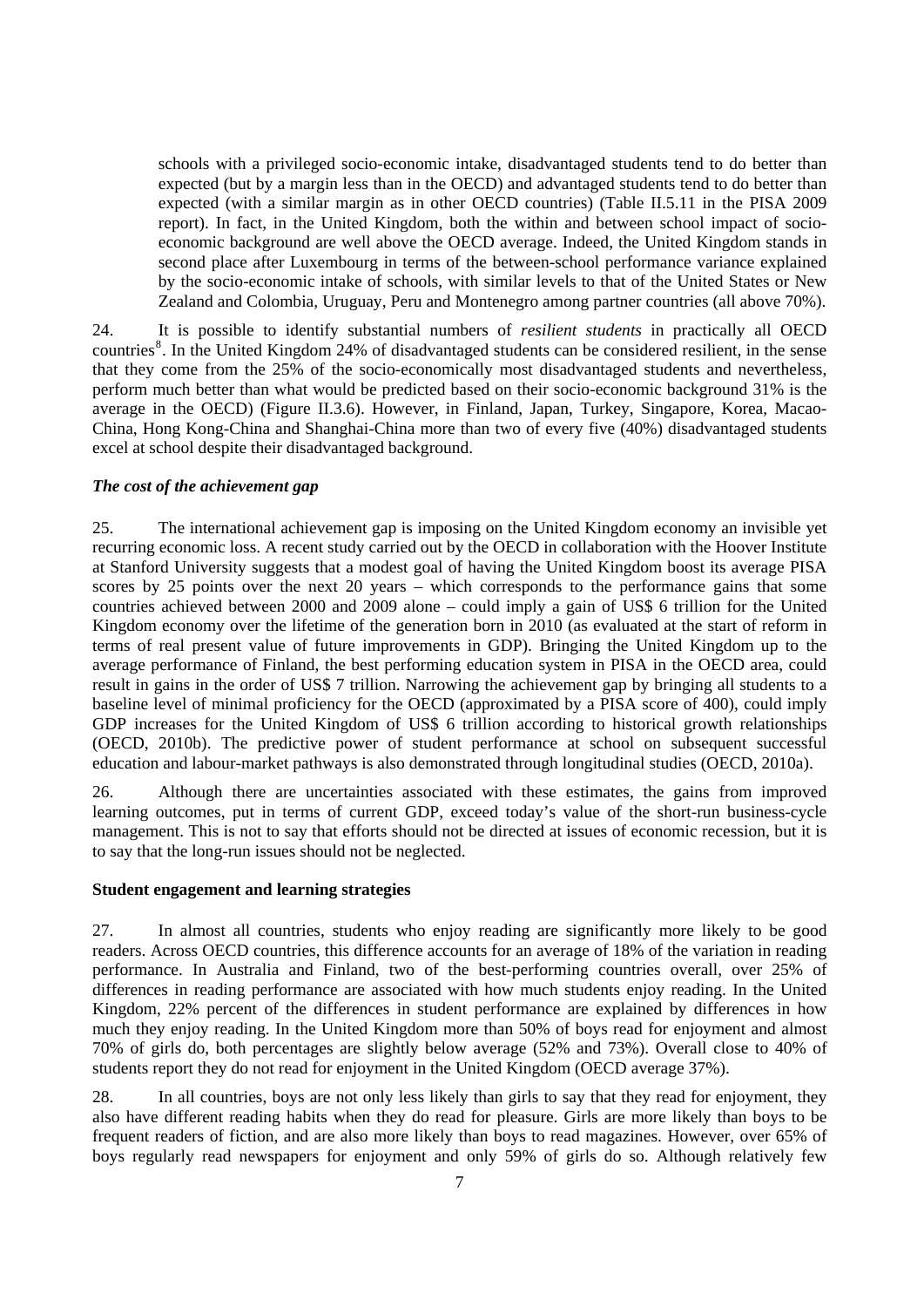schools with a privileged socio-economic intake, disadvantaged students tend to do better than expected (but by a margin less than in the OECD) and advantaged students tend to do better than expected (with a similar margin as in other OECD countries) (Table II.5.11 in the PISA 2009 report). In fact, in the United Kingdom, both the within and between school impact of socioeconomic background are well above the OECD average. Indeed, the United Kingdom stands in second place after Luxembourg in terms of the between-school performance variance explained by the socio-economic intake of schools, with similar levels to that of the United States or New Zealand and Colombia, Uruguay, Peru and Montenegro among partner countries (all above 70%).

24. It is possible to identify substantial numbers of *resilient students* in practically all OECD countries<sup>[8](#page-20-0)</sup>. In the United Kingdom 24% of disadvantaged students can be considered resilient, in the sense that they come from the 25% of the socio-economically most disadvantaged students and nevertheless, perform much better than what would be predicted based on their socio-economic background 31% is the average in the OECD) (Figure II.3.6). However, in Finland, Japan, Turkey, Singapore, Korea, Macao-China, Hong Kong-China and Shanghai-China more than two of every five (40%) disadvantaged students excel at school despite their disadvantaged background.

### *The cost of the achievement gap*

25. The international achievement gap is imposing on the United Kingdom economy an invisible yet recurring economic loss. A recent study carried out by the OECD in collaboration with the Hoover Institute at Stanford University suggests that a modest goal of having the United Kingdom boost its average PISA scores by 25 points over the next 20 years – which corresponds to the performance gains that some countries achieved between 2000 and 2009 alone – could imply a gain of US\$ 6 trillion for the United Kingdom economy over the lifetime of the generation born in 2010 (as evaluated at the start of reform in terms of real present value of future improvements in GDP). Bringing the United Kingdom up to the average performance of Finland, the best performing education system in PISA in the OECD area, could result in gains in the order of US\$ 7 trillion. Narrowing the achievement gap by bringing all students to a baseline level of minimal proficiency for the OECD (approximated by a PISA score of 400), could imply GDP increases for the United Kingdom of US\$ 6 trillion according to historical growth relationships (OECD, 2010b). The predictive power of student performance at school on subsequent successful education and labour-market pathways is also demonstrated through longitudinal studies (OECD, 2010a).

26. Although there are uncertainties associated with these estimates, the gains from improved learning outcomes, put in terms of current GDP, exceed today's value of the short-run business-cycle management. This is not to say that efforts should not be directed at issues of economic recession, but it is to say that the long-run issues should not be neglected.

### **Student engagement and learning strategies**

27. In almost all countries, students who enjoy reading are significantly more likely to be good readers. Across OECD countries, this difference accounts for an average of 18% of the variation in reading performance. In Australia and Finland, two of the best-performing countries overall, over 25% of differences in reading performance are associated with how much students enjoy reading. In the United Kingdom, 22% percent of the differences in student performance are explained by differences in how much they enjoy reading. In the United Kingdom more than 50% of boys read for enjoyment and almost 70% of girls do, both percentages are slightly below average (52% and 73%). Overall close to 40% of students report they do not read for enjoyment in the United Kingdom (OECD average 37%).

28. In all countries, boys are not only less likely than girls to say that they read for enjoyment, they also have different reading habits when they do read for pleasure. Girls are more likely than boys to be frequent readers of fiction, and are also more likely than boys to read magazines. However, over 65% of boys regularly read newspapers for enjoyment and only 59% of girls do so. Although relatively few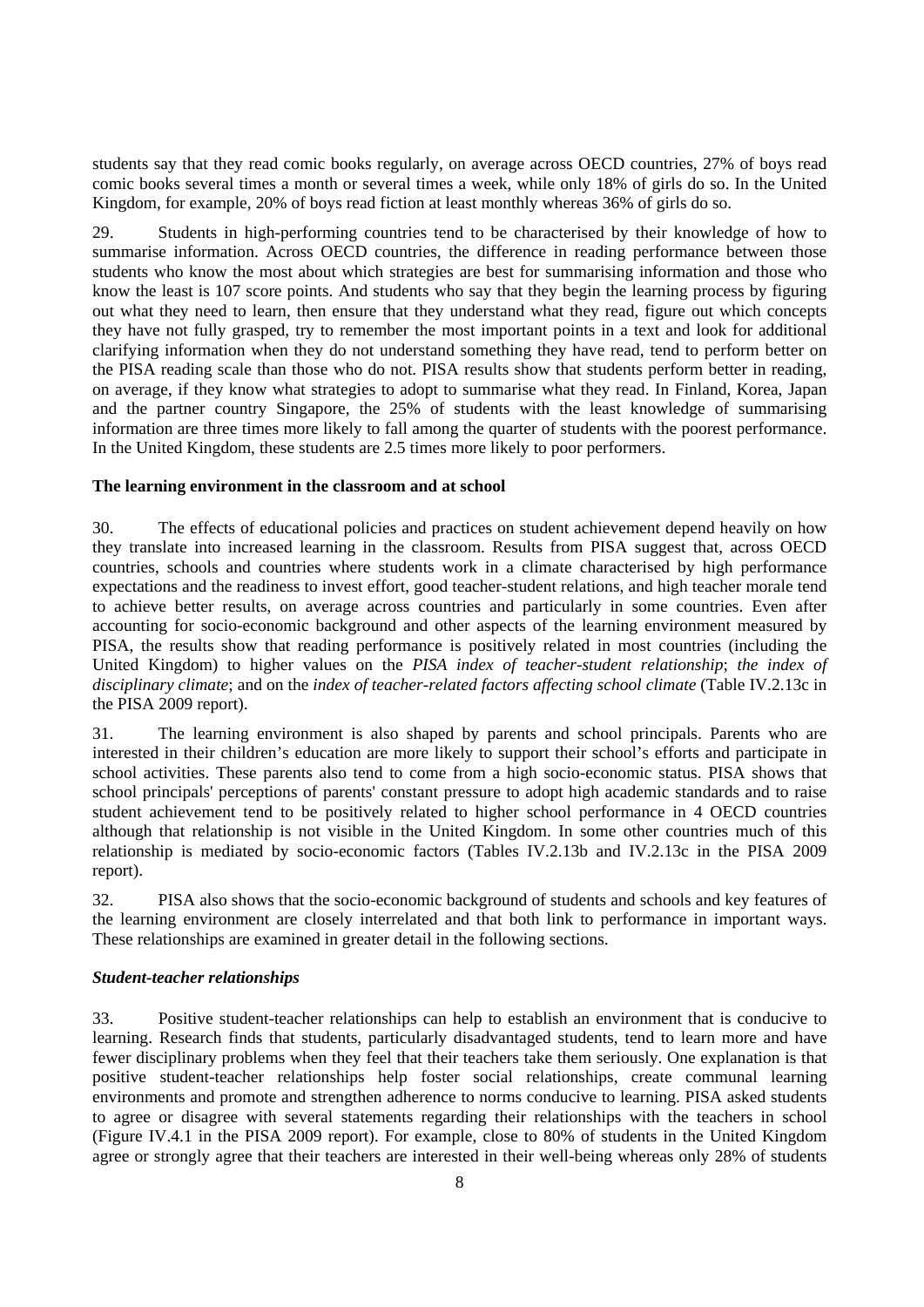students say that they read comic books regularly, on average across OECD countries, 27% of boys read comic books several times a month or several times a week, while only 18% of girls do so. In the United Kingdom, for example, 20% of boys read fiction at least monthly whereas 36% of girls do so.

29. Students in high-performing countries tend to be characterised by their knowledge of how to summarise information. Across OECD countries, the difference in reading performance between those students who know the most about which strategies are best for summarising information and those who know the least is 107 score points. And students who say that they begin the learning process by figuring out what they need to learn, then ensure that they understand what they read, figure out which concepts they have not fully grasped, try to remember the most important points in a text and look for additional clarifying information when they do not understand something they have read, tend to perform better on the PISA reading scale than those who do not. PISA results show that students perform better in reading, on average, if they know what strategies to adopt to summarise what they read. In Finland, Korea, Japan and the partner country Singapore, the 25% of students with the least knowledge of summarising information are three times more likely to fall among the quarter of students with the poorest performance. In the United Kingdom, these students are 2.5 times more likely to poor performers.

#### **The learning environment in the classroom and at school**

30. The effects of educational policies and practices on student achievement depend heavily on how they translate into increased learning in the classroom. Results from PISA suggest that, across OECD countries, schools and countries where students work in a climate characterised by high performance expectations and the readiness to invest effort, good teacher-student relations, and high teacher morale tend to achieve better results, on average across countries and particularly in some countries. Even after accounting for socio-economic background and other aspects of the learning environment measured by PISA, the results show that reading performance is positively related in most countries (including the United Kingdom) to higher values on the *PISA index of teacher-student relationship*; *the index of disciplinary climate*; and on the *index of teacher-related factors affecting school climate* (Table IV.2.13c in the PISA 2009 report).

31. The learning environment is also shaped by parents and school principals. Parents who are interested in their children's education are more likely to support their school's efforts and participate in school activities. These parents also tend to come from a high socio-economic status. PISA shows that school principals' perceptions of parents' constant pressure to adopt high academic standards and to raise student achievement tend to be positively related to higher school performance in 4 OECD countries although that relationship is not visible in the United Kingdom. In some other countries much of this relationship is mediated by socio-economic factors (Tables IV.2.13b and IV.2.13c in the PISA 2009 report).

32. PISA also shows that the socio-economic background of students and schools and key features of the learning environment are closely interrelated and that both link to performance in important ways. These relationships are examined in greater detail in the following sections.

#### *Student-teacher relationships*

33. Positive student-teacher relationships can help to establish an environment that is conducive to learning. Research finds that students, particularly disadvantaged students, tend to learn more and have fewer disciplinary problems when they feel that their teachers take them seriously. One explanation is that positive student-teacher relationships help foster social relationships, create communal learning environments and promote and strengthen adherence to norms conducive to learning. PISA asked students to agree or disagree with several statements regarding their relationships with the teachers in school (Figure IV.4.1 in the PISA 2009 report). For example, close to 80% of students in the United Kingdom agree or strongly agree that their teachers are interested in their well-being whereas only 28% of students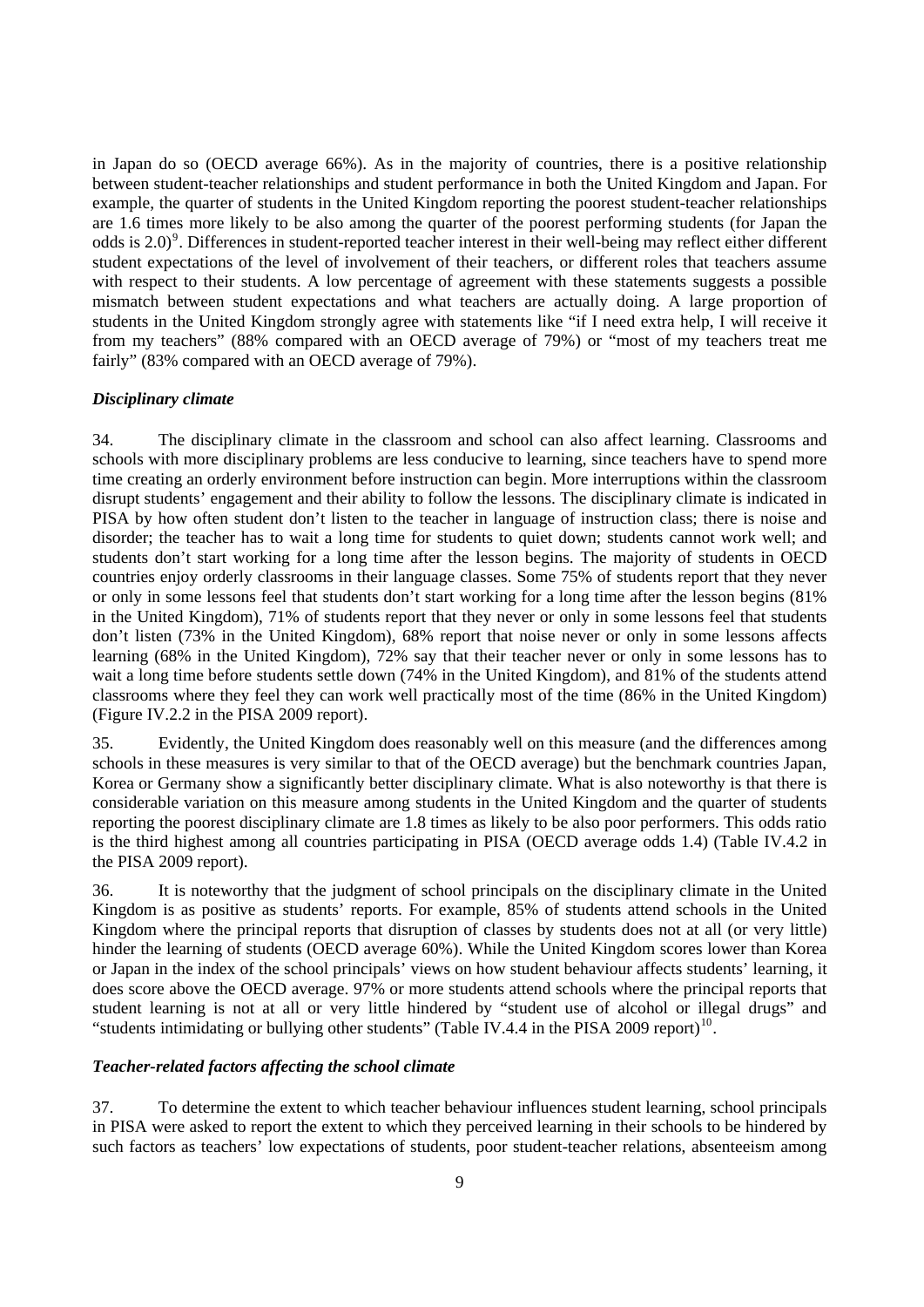in Japan do so (OECD average 66%). As in the majority of countries, there is a positive relationship between student-teacher relationships and student performance in both the United Kingdom and Japan. For example, the quarter of students in the United Kingdom reporting the poorest student-teacher relationships are 1.6 times more likely to be also among the quarter of the poorest performing students (for Japan the odds is 2.0)<sup>[9](#page-20-0)</sup>. Differences in student-reported teacher interest in their well-being may reflect either different student expectations of the level of involvement of their teachers, or different roles that teachers assume with respect to their students. A low percentage of agreement with these statements suggests a possible mismatch between student expectations and what teachers are actually doing. A large proportion of students in the United Kingdom strongly agree with statements like "if I need extra help, I will receive it from my teachers" (88% compared with an OECD average of 79%) or "most of my teachers treat me fairly" (83% compared with an OECD average of 79%).

# *Disciplinary climate*

34. The disciplinary climate in the classroom and school can also affect learning. Classrooms and schools with more disciplinary problems are less conducive to learning, since teachers have to spend more time creating an orderly environment before instruction can begin. More interruptions within the classroom disrupt students' engagement and their ability to follow the lessons. The disciplinary climate is indicated in PISA by how often student don't listen to the teacher in language of instruction class; there is noise and disorder; the teacher has to wait a long time for students to quiet down; students cannot work well; and students don't start working for a long time after the lesson begins. The majority of students in OECD countries enjoy orderly classrooms in their language classes. Some 75% of students report that they never or only in some lessons feel that students don't start working for a long time after the lesson begins (81% in the United Kingdom), 71% of students report that they never or only in some lessons feel that students don't listen (73% in the United Kingdom), 68% report that noise never or only in some lessons affects learning (68% in the United Kingdom), 72% say that their teacher never or only in some lessons has to wait a long time before students settle down (74% in the United Kingdom), and 81% of the students attend classrooms where they feel they can work well practically most of the time (86% in the United Kingdom) (Figure IV.2.2 in the PISA 2009 report).

35. Evidently, the United Kingdom does reasonably well on this measure (and the differences among schools in these measures is very similar to that of the OECD average) but the benchmark countries Japan, Korea or Germany show a significantly better disciplinary climate. What is also noteworthy is that there is considerable variation on this measure among students in the United Kingdom and the quarter of students reporting the poorest disciplinary climate are 1.8 times as likely to be also poor performers. This odds ratio is the third highest among all countries participating in PISA (OECD average odds 1.4) (Table IV.4.2 in the PISA 2009 report).

36. It is noteworthy that the judgment of school principals on the disciplinary climate in the United Kingdom is as positive as students' reports. For example, 85% of students attend schools in the United Kingdom where the principal reports that disruption of classes by students does not at all (or very little) hinder the learning of students (OECD average 60%). While the United Kingdom scores lower than Korea or Japan in the index of the school principals' views on how student behaviour affects students' learning, it does score above the OECD average. 97% or more students attend schools where the principal reports that student learning is not at all or very little hindered by "student use of alcohol or illegal drugs" and "students intimidating or bullying other students" (Table IV.4.4 in the PISA 2009 report)<sup>[10](#page-20-0)</sup>.

### *Teacher-related factors affecting the school climate*

37. To determine the extent to which teacher behaviour influences student learning, school principals in PISA were asked to report the extent to which they perceived learning in their schools to be hindered by such factors as teachers' low expectations of students, poor student-teacher relations, absenteeism among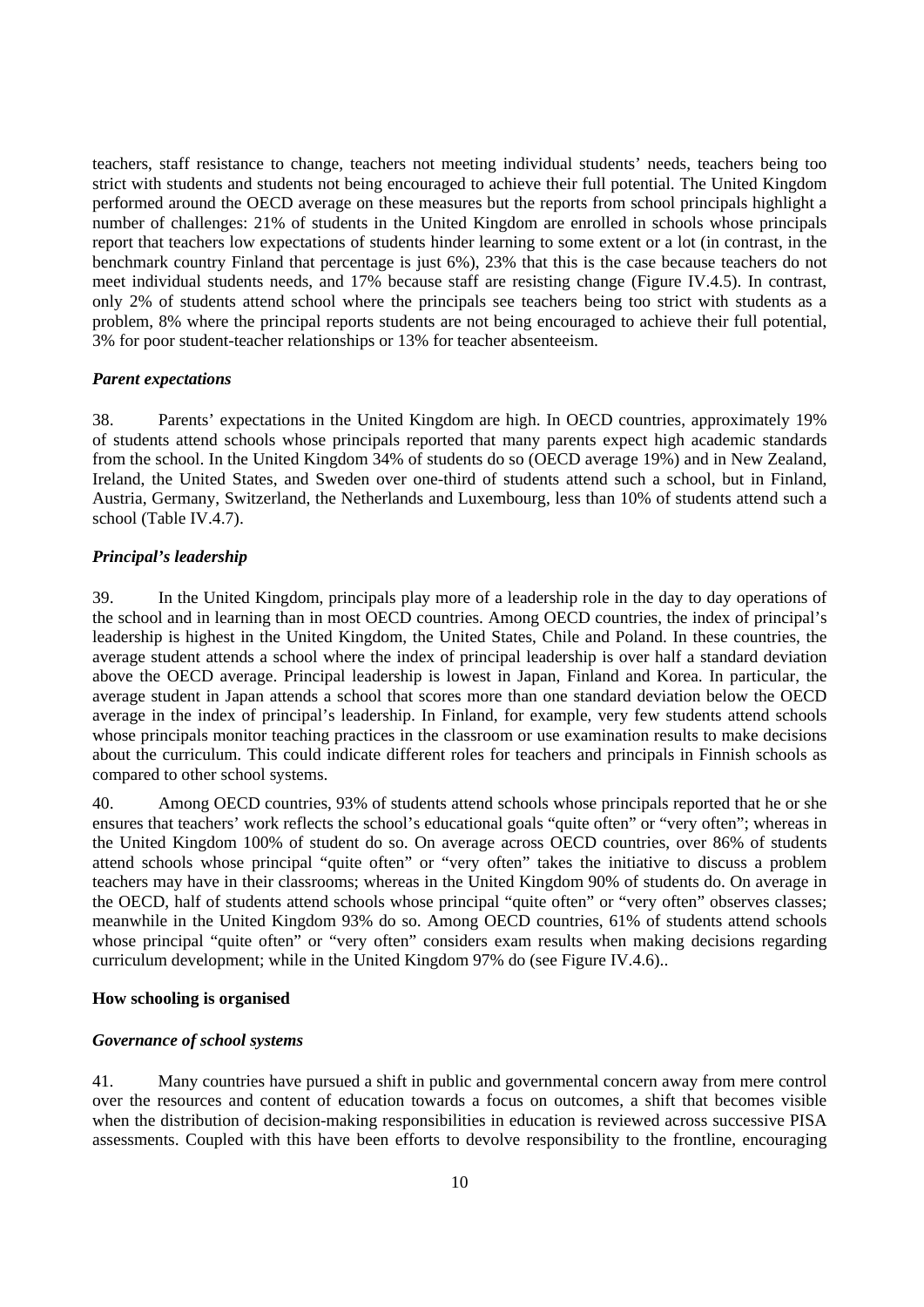teachers, staff resistance to change, teachers not meeting individual students' needs, teachers being too strict with students and students not being encouraged to achieve their full potential. The United Kingdom performed around the OECD average on these measures but the reports from school principals highlight a number of challenges: 21% of students in the United Kingdom are enrolled in schools whose principals report that teachers low expectations of students hinder learning to some extent or a lot (in contrast, in the benchmark country Finland that percentage is just 6%), 23% that this is the case because teachers do not meet individual students needs, and 17% because staff are resisting change (Figure IV.4.5). In contrast, only 2% of students attend school where the principals see teachers being too strict with students as a problem, 8% where the principal reports students are not being encouraged to achieve their full potential, 3% for poor student-teacher relationships or 13% for teacher absenteeism.

### *Parent expectations*

38. Parents' expectations in the United Kingdom are high. In OECD countries, approximately 19% of students attend schools whose principals reported that many parents expect high academic standards from the school. In the United Kingdom 34% of students do so (OECD average 19%) and in New Zealand, Ireland, the United States, and Sweden over one-third of students attend such a school, but in Finland, Austria, Germany, Switzerland, the Netherlands and Luxembourg, less than 10% of students attend such a school (Table IV.4.7).

# *Principal's leadership*

39. In the United Kingdom, principals play more of a leadership role in the day to day operations of the school and in learning than in most OECD countries. Among OECD countries, the index of principal's leadership is highest in the United Kingdom, the United States, Chile and Poland. In these countries, the average student attends a school where the index of principal leadership is over half a standard deviation above the OECD average. Principal leadership is lowest in Japan, Finland and Korea. In particular, the average student in Japan attends a school that scores more than one standard deviation below the OECD average in the index of principal's leadership. In Finland, for example, very few students attend schools whose principals monitor teaching practices in the classroom or use examination results to make decisions about the curriculum. This could indicate different roles for teachers and principals in Finnish schools as compared to other school systems.

40. Among OECD countries, 93% of students attend schools whose principals reported that he or she ensures that teachers' work reflects the school's educational goals "quite often" or "very often"; whereas in the United Kingdom 100% of student do so. On average across OECD countries, over 86% of students attend schools whose principal "quite often" or "very often" takes the initiative to discuss a problem teachers may have in their classrooms; whereas in the United Kingdom 90% of students do. On average in the OECD, half of students attend schools whose principal "quite often" or "very often" observes classes; meanwhile in the United Kingdom 93% do so. Among OECD countries, 61% of students attend schools whose principal "quite often" or "very often" considers exam results when making decisions regarding curriculum development; while in the United Kingdom 97% do (see Figure IV.4.6)..

### **How schooling is organised**

### *Governance of school systems*

41. Many countries have pursued a shift in public and governmental concern away from mere control over the resources and content of education towards a focus on outcomes, a shift that becomes visible when the distribution of decision-making responsibilities in education is reviewed across successive PISA assessments. Coupled with this have been efforts to devolve responsibility to the frontline, encouraging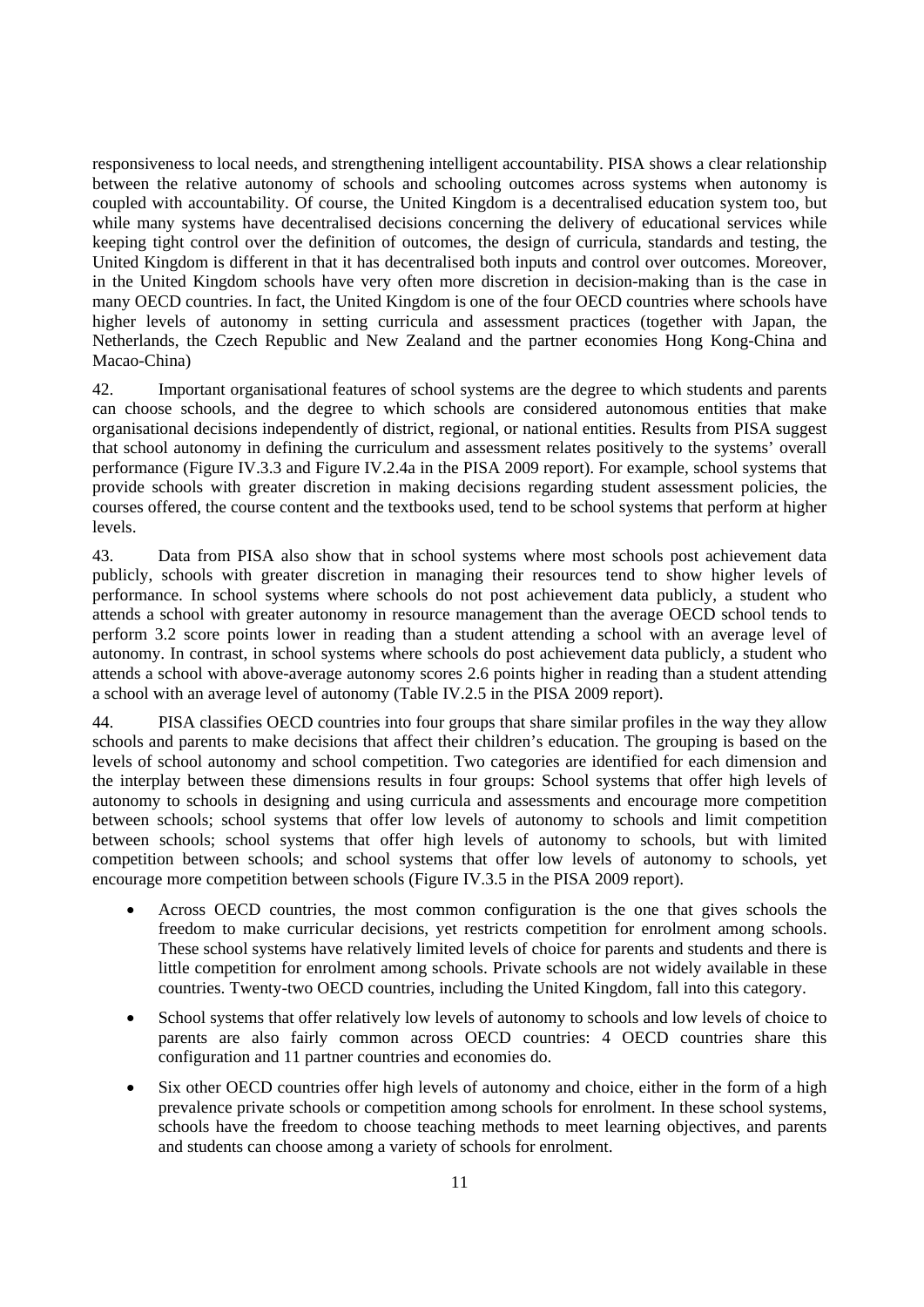responsiveness to local needs, and strengthening intelligent accountability. PISA shows a clear relationship between the relative autonomy of schools and schooling outcomes across systems when autonomy is coupled with accountability. Of course, the United Kingdom is a decentralised education system too, but while many systems have decentralised decisions concerning the delivery of educational services while keeping tight control over the definition of outcomes, the design of curricula, standards and testing, the United Kingdom is different in that it has decentralised both inputs and control over outcomes. Moreover, in the United Kingdom schools have very often more discretion in decision-making than is the case in many OECD countries. In fact, the United Kingdom is one of the four OECD countries where schools have higher levels of autonomy in setting curricula and assessment practices (together with Japan, the Netherlands, the Czech Republic and New Zealand and the partner economies Hong Kong-China and Macao-China)

42. Important organisational features of school systems are the degree to which students and parents can choose schools, and the degree to which schools are considered autonomous entities that make organisational decisions independently of district, regional, or national entities. Results from PISA suggest that school autonomy in defining the curriculum and assessment relates positively to the systems' overall performance (Figure IV.3.3 and Figure IV.2.4a in the PISA 2009 report). For example, school systems that provide schools with greater discretion in making decisions regarding student assessment policies, the courses offered, the course content and the textbooks used, tend to be school systems that perform at higher levels.

43. Data from PISA also show that in school systems where most schools post achievement data publicly, schools with greater discretion in managing their resources tend to show higher levels of performance. In school systems where schools do not post achievement data publicly, a student who attends a school with greater autonomy in resource management than the average OECD school tends to perform 3.2 score points lower in reading than a student attending a school with an average level of autonomy. In contrast, in school systems where schools do post achievement data publicly, a student who attends a school with above-average autonomy scores 2.6 points higher in reading than a student attending a school with an average level of autonomy (Table IV.2.5 in the PISA 2009 report).

44. PISA classifies OECD countries into four groups that share similar profiles in the way they allow schools and parents to make decisions that affect their children's education. The grouping is based on the levels of school autonomy and school competition. Two categories are identified for each dimension and the interplay between these dimensions results in four groups: School systems that offer high levels of autonomy to schools in designing and using curricula and assessments and encourage more competition between schools; school systems that offer low levels of autonomy to schools and limit competition between schools; school systems that offer high levels of autonomy to schools, but with limited competition between schools; and school systems that offer low levels of autonomy to schools, yet encourage more competition between schools (Figure IV.3.5 in the PISA 2009 report).

- Across OECD countries, the most common configuration is the one that gives schools the freedom to make curricular decisions, yet restricts competition for enrolment among schools. These school systems have relatively limited levels of choice for parents and students and there is little competition for enrolment among schools. Private schools are not widely available in these countries. Twenty-two OECD countries, including the United Kingdom, fall into this category.
- School systems that offer relatively low levels of autonomy to schools and low levels of choice to parents are also fairly common across OECD countries: 4 OECD countries share this configuration and 11 partner countries and economies do.
- Six other OECD countries offer high levels of autonomy and choice, either in the form of a high prevalence private schools or competition among schools for enrolment. In these school systems, schools have the freedom to choose teaching methods to meet learning objectives, and parents and students can choose among a variety of schools for enrolment.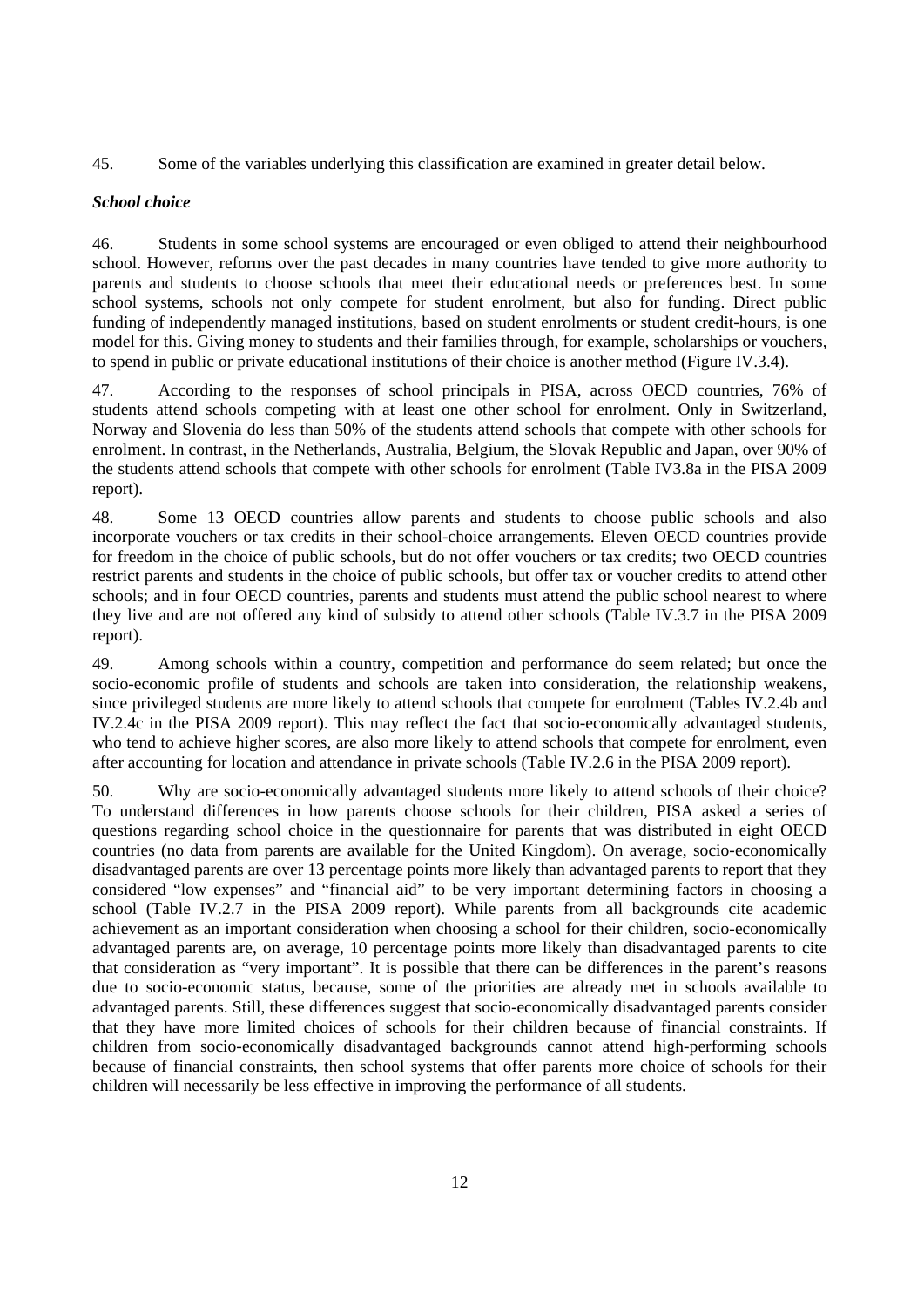45. Some of the variables underlying this classification are examined in greater detail below.

# *School choice*

46. Students in some school systems are encouraged or even obliged to attend their neighbourhood school. However, reforms over the past decades in many countries have tended to give more authority to parents and students to choose schools that meet their educational needs or preferences best. In some school systems, schools not only compete for student enrolment, but also for funding. Direct public funding of independently managed institutions, based on student enrolments or student credit-hours, is one model for this. Giving money to students and their families through, for example, scholarships or vouchers, to spend in public or private educational institutions of their choice is another method (Figure IV.3.4).

47. According to the responses of school principals in PISA, across OECD countries, 76% of students attend schools competing with at least one other school for enrolment. Only in Switzerland, Norway and Slovenia do less than 50% of the students attend schools that compete with other schools for enrolment. In contrast, in the Netherlands, Australia, Belgium, the Slovak Republic and Japan, over 90% of the students attend schools that compete with other schools for enrolment (Table IV3.8a in the PISA 2009 report).

48. Some 13 OECD countries allow parents and students to choose public schools and also incorporate vouchers or tax credits in their school-choice arrangements. Eleven OECD countries provide for freedom in the choice of public schools, but do not offer vouchers or tax credits; two OECD countries restrict parents and students in the choice of public schools, but offer tax or voucher credits to attend other schools; and in four OECD countries, parents and students must attend the public school nearest to where they live and are not offered any kind of subsidy to attend other schools (Table IV.3.7 in the PISA 2009 report).

49. Among schools within a country, competition and performance do seem related; but once the socio-economic profile of students and schools are taken into consideration, the relationship weakens, since privileged students are more likely to attend schools that compete for enrolment (Tables IV.2.4b and IV.2.4c in the PISA 2009 report). This may reflect the fact that socio-economically advantaged students, who tend to achieve higher scores, are also more likely to attend schools that compete for enrolment, even after accounting for location and attendance in private schools (Table IV.2.6 in the PISA 2009 report).

50. Why are socio-economically advantaged students more likely to attend schools of their choice? To understand differences in how parents choose schools for their children, PISA asked a series of questions regarding school choice in the questionnaire for parents that was distributed in eight OECD countries (no data from parents are available for the United Kingdom). On average, socio-economically disadvantaged parents are over 13 percentage points more likely than advantaged parents to report that they considered "low expenses" and "financial aid" to be very important determining factors in choosing a school (Table IV.2.7 in the PISA 2009 report). While parents from all backgrounds cite academic achievement as an important consideration when choosing a school for their children, socio-economically advantaged parents are, on average, 10 percentage points more likely than disadvantaged parents to cite that consideration as "very important". It is possible that there can be differences in the parent's reasons due to socio-economic status, because, some of the priorities are already met in schools available to advantaged parents. Still, these differences suggest that socio-economically disadvantaged parents consider that they have more limited choices of schools for their children because of financial constraints. If children from socio-economically disadvantaged backgrounds cannot attend high-performing schools because of financial constraints, then school systems that offer parents more choice of schools for their children will necessarily be less effective in improving the performance of all students.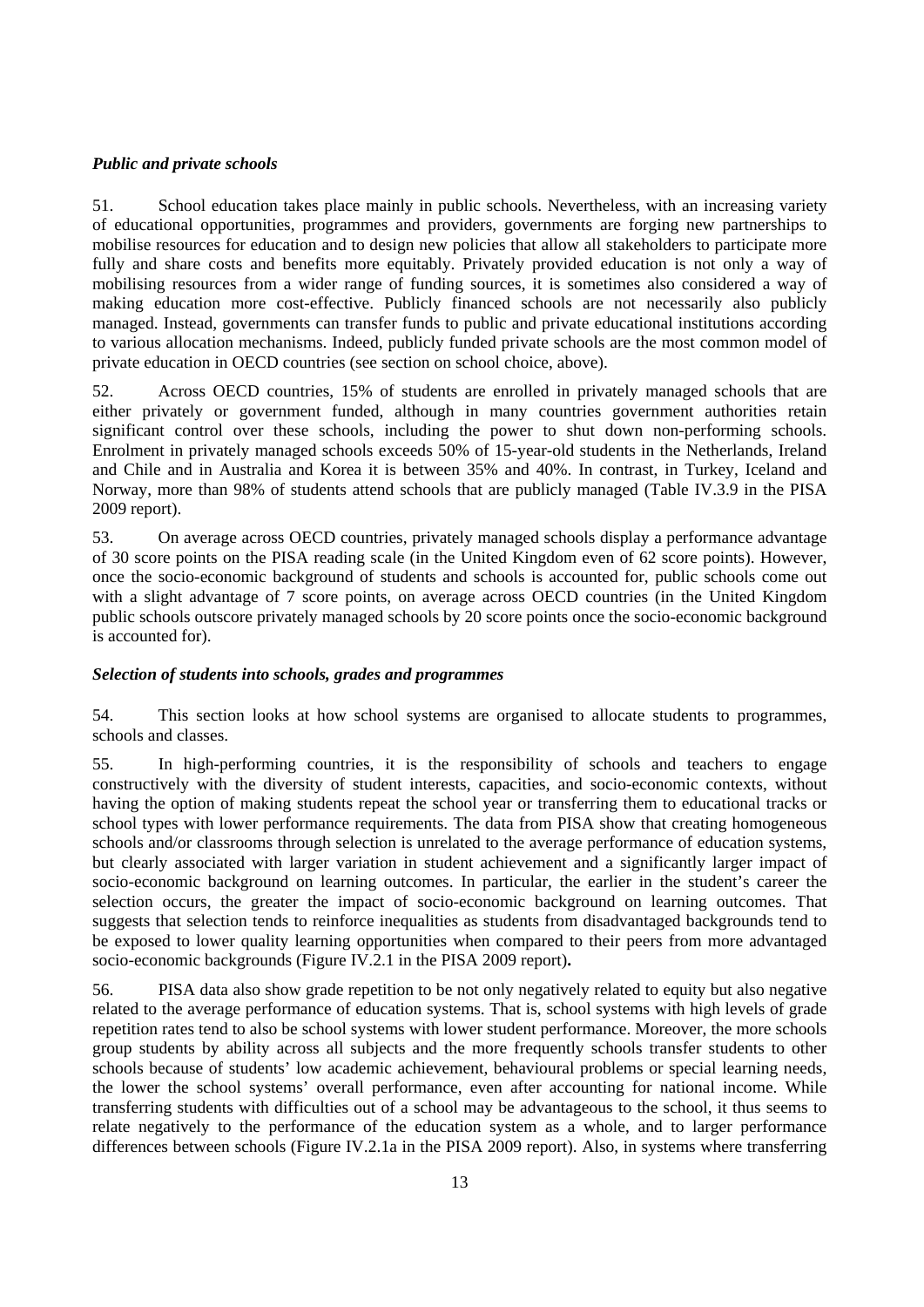# *Public and private schools*

51. School education takes place mainly in public schools. Nevertheless, with an increasing variety of educational opportunities, programmes and providers, governments are forging new partnerships to mobilise resources for education and to design new policies that allow all stakeholders to participate more fully and share costs and benefits more equitably. Privately provided education is not only a way of mobilising resources from a wider range of funding sources, it is sometimes also considered a way of making education more cost-effective. Publicly financed schools are not necessarily also publicly managed. Instead, governments can transfer funds to public and private educational institutions according to various allocation mechanisms. Indeed, publicly funded private schools are the most common model of private education in OECD countries (see section on school choice, above).

52. Across OECD countries, 15% of students are enrolled in privately managed schools that are either privately or government funded, although in many countries government authorities retain significant control over these schools, including the power to shut down non-performing schools. Enrolment in privately managed schools exceeds 50% of 15-year-old students in the Netherlands, Ireland and Chile and in Australia and Korea it is between 35% and 40%. In contrast, in Turkey, Iceland and Norway, more than 98% of students attend schools that are publicly managed (Table IV.3.9 in the PISA 2009 report).

53. On average across OECD countries, privately managed schools display a performance advantage of 30 score points on the PISA reading scale (in the United Kingdom even of 62 score points). However, once the socio-economic background of students and schools is accounted for, public schools come out with a slight advantage of 7 score points, on average across OECD countries (in the United Kingdom public schools outscore privately managed schools by 20 score points once the socio-economic background is accounted for).

### *Selection of students into schools, grades and programmes*

54. This section looks at how school systems are organised to allocate students to programmes, schools and classes.

55. In high-performing countries, it is the responsibility of schools and teachers to engage constructively with the diversity of student interests, capacities, and socio-economic contexts, without having the option of making students repeat the school year or transferring them to educational tracks or school types with lower performance requirements. The data from PISA show that creating homogeneous schools and/or classrooms through selection is unrelated to the average performance of education systems, but clearly associated with larger variation in student achievement and a significantly larger impact of socio-economic background on learning outcomes. In particular, the earlier in the student's career the selection occurs, the greater the impact of socio-economic background on learning outcomes. That suggests that selection tends to reinforce inequalities as students from disadvantaged backgrounds tend to be exposed to lower quality learning opportunities when compared to their peers from more advantaged socio-economic backgrounds (Figure IV.2.1 in the PISA 2009 report)**.**

56. PISA data also show grade repetition to be not only negatively related to equity but also negative related to the average performance of education systems. That is, school systems with high levels of grade repetition rates tend to also be school systems with lower student performance. Moreover, the more schools group students by ability across all subjects and the more frequently schools transfer students to other schools because of students' low academic achievement, behavioural problems or special learning needs, the lower the school systems' overall performance, even after accounting for national income. While transferring students with difficulties out of a school may be advantageous to the school, it thus seems to relate negatively to the performance of the education system as a whole, and to larger performance differences between schools (Figure IV.2.1a in the PISA 2009 report). Also, in systems where transferring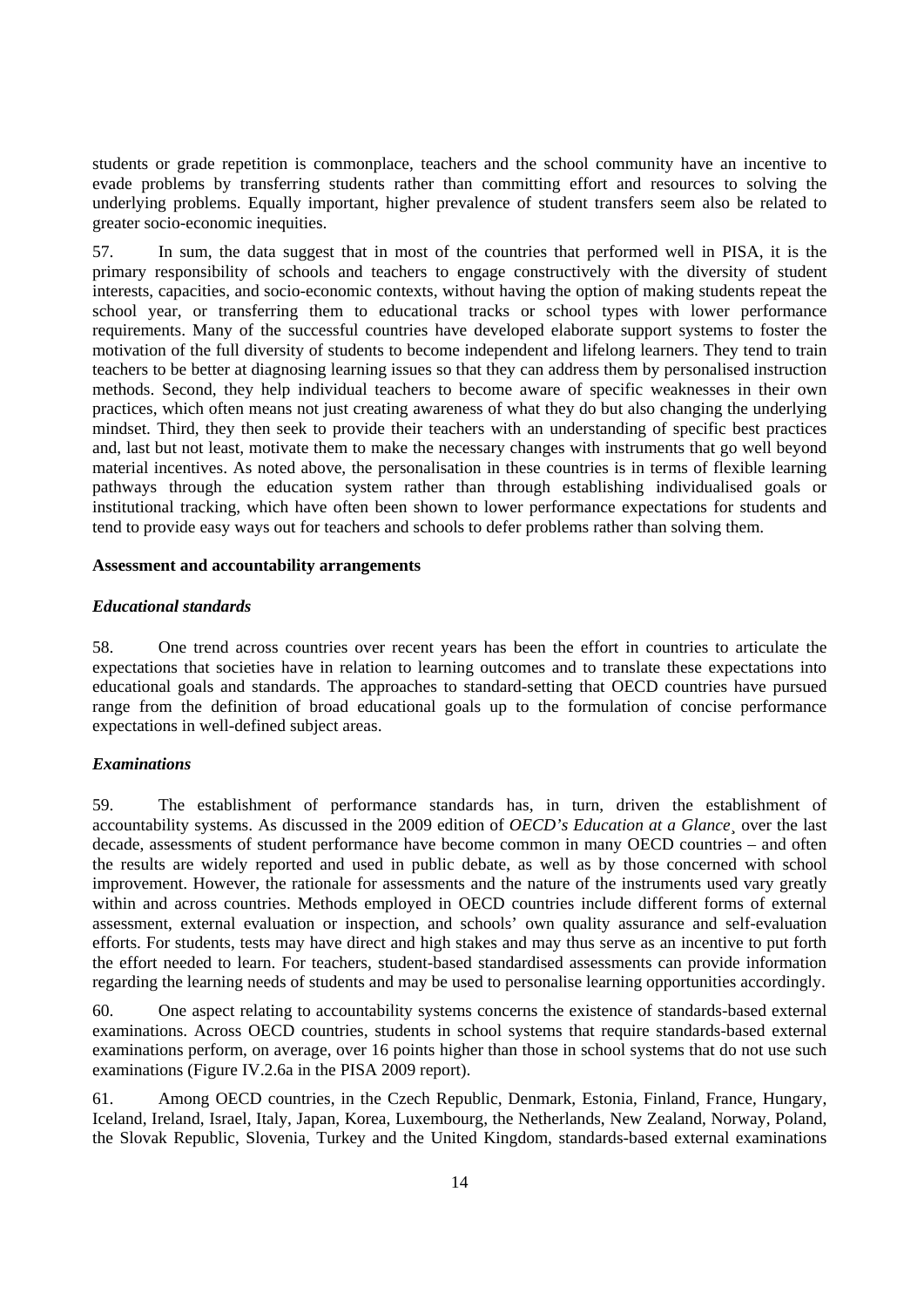students or grade repetition is commonplace, teachers and the school community have an incentive to evade problems by transferring students rather than committing effort and resources to solving the underlying problems. Equally important, higher prevalence of student transfers seem also be related to greater socio-economic inequities.

57. In sum, the data suggest that in most of the countries that performed well in PISA, it is the primary responsibility of schools and teachers to engage constructively with the diversity of student interests, capacities, and socio-economic contexts, without having the option of making students repeat the school year, or transferring them to educational tracks or school types with lower performance requirements. Many of the successful countries have developed elaborate support systems to foster the motivation of the full diversity of students to become independent and lifelong learners. They tend to train teachers to be better at diagnosing learning issues so that they can address them by personalised instruction methods. Second, they help individual teachers to become aware of specific weaknesses in their own practices, which often means not just creating awareness of what they do but also changing the underlying mindset. Third, they then seek to provide their teachers with an understanding of specific best practices and, last but not least, motivate them to make the necessary changes with instruments that go well beyond material incentives. As noted above, the personalisation in these countries is in terms of flexible learning pathways through the education system rather than through establishing individualised goals or institutional tracking, which have often been shown to lower performance expectations for students and tend to provide easy ways out for teachers and schools to defer problems rather than solving them.

#### **Assessment and accountability arrangements**

#### *Educational standards*

58. One trend across countries over recent years has been the effort in countries to articulate the expectations that societies have in relation to learning outcomes and to translate these expectations into educational goals and standards. The approaches to standard-setting that OECD countries have pursued range from the definition of broad educational goals up to the formulation of concise performance expectations in well-defined subject areas.

### *Examinations*

59. The establishment of performance standards has, in turn, driven the establishment of accountability systems. As discussed in the 2009 edition of *OECD's Education at a Glance* over the last decade, assessments of student performance have become common in many OECD countries – and often the results are widely reported and used in public debate, as well as by those concerned with school improvement. However, the rationale for assessments and the nature of the instruments used vary greatly within and across countries. Methods employed in OECD countries include different forms of external assessment, external evaluation or inspection, and schools' own quality assurance and self-evaluation efforts. For students, tests may have direct and high stakes and may thus serve as an incentive to put forth the effort needed to learn. For teachers, student-based standardised assessments can provide information regarding the learning needs of students and may be used to personalise learning opportunities accordingly.

60. One aspect relating to accountability systems concerns the existence of standards-based external examinations. Across OECD countries, students in school systems that require standards-based external examinations perform, on average, over 16 points higher than those in school systems that do not use such examinations (Figure IV.2.6a in the PISA 2009 report).

61. Among OECD countries, in the Czech Republic, Denmark, Estonia, Finland, France, Hungary, Iceland, Ireland, Israel, Italy, Japan, Korea, Luxembourg, the Netherlands, New Zealand, Norway, Poland, the Slovak Republic, Slovenia, Turkey and the United Kingdom, standards-based external examinations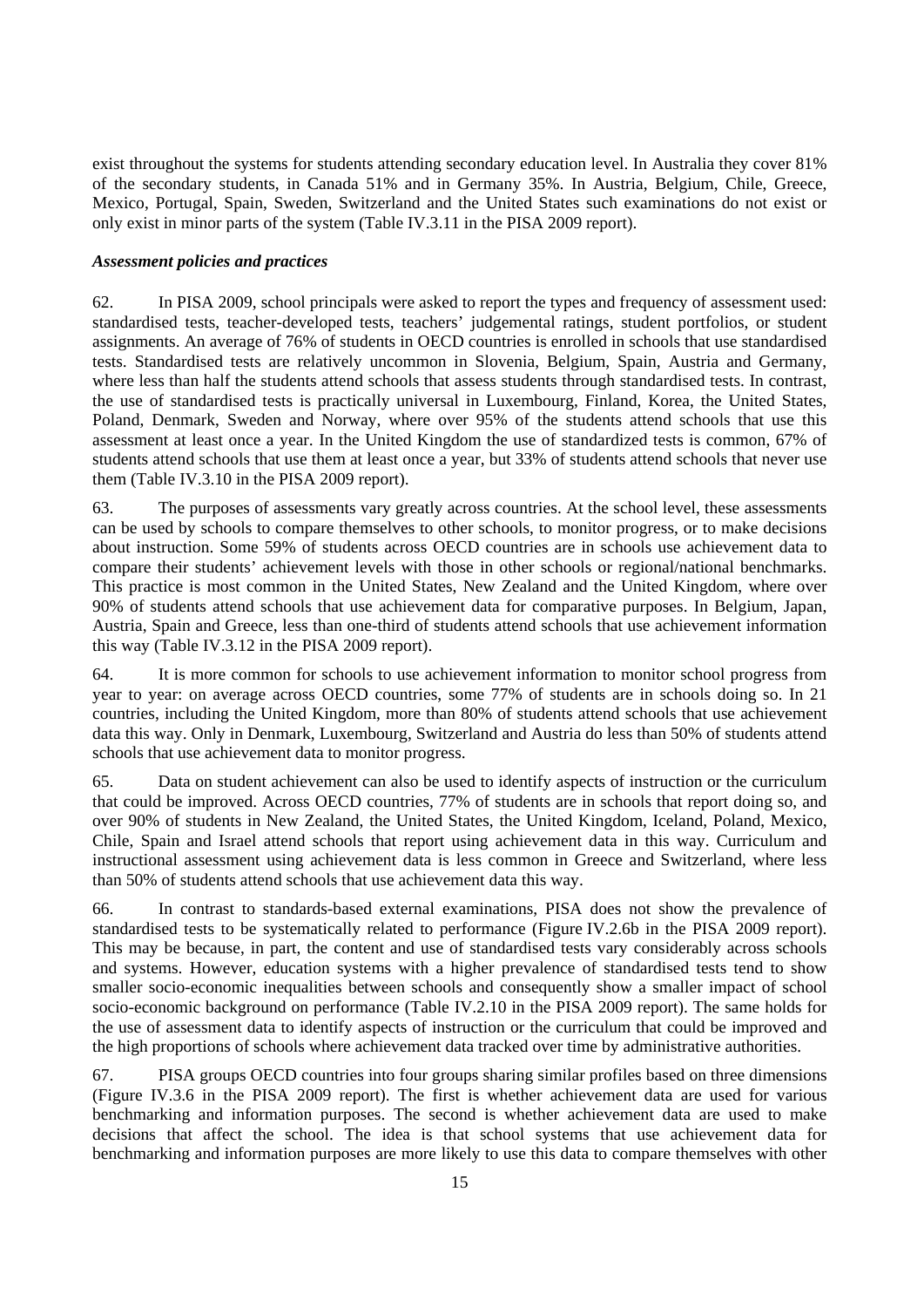exist throughout the systems for students attending secondary education level. In Australia they cover 81% of the secondary students, in Canada 51% and in Germany 35%. In Austria, Belgium, Chile, Greece, Mexico, Portugal, Spain, Sweden, Switzerland and the United States such examinations do not exist or only exist in minor parts of the system (Table IV.3.11 in the PISA 2009 report).

### *Assessment policies and practices*

62. In PISA 2009, school principals were asked to report the types and frequency of assessment used: standardised tests, teacher-developed tests, teachers' judgemental ratings, student portfolios, or student assignments. An average of 76% of students in OECD countries is enrolled in schools that use standardised tests. Standardised tests are relatively uncommon in Slovenia, Belgium, Spain, Austria and Germany, where less than half the students attend schools that assess students through standardised tests. In contrast, the use of standardised tests is practically universal in Luxembourg, Finland, Korea, the United States, Poland, Denmark, Sweden and Norway, where over 95% of the students attend schools that use this assessment at least once a year. In the United Kingdom the use of standardized tests is common, 67% of students attend schools that use them at least once a year, but 33% of students attend schools that never use them (Table IV.3.10 in the PISA 2009 report).

63. The purposes of assessments vary greatly across countries. At the school level, these assessments can be used by schools to compare themselves to other schools, to monitor progress, or to make decisions about instruction. Some 59% of students across OECD countries are in schools use achievement data to compare their students' achievement levels with those in other schools or regional/national benchmarks. This practice is most common in the United States, New Zealand and the United Kingdom, where over 90% of students attend schools that use achievement data for comparative purposes. In Belgium, Japan, Austria, Spain and Greece, less than one-third of students attend schools that use achievement information this way (Table IV.3.12 in the PISA 2009 report).

64. It is more common for schools to use achievement information to monitor school progress from year to year: on average across OECD countries, some 77% of students are in schools doing so. In 21 countries, including the United Kingdom, more than 80% of students attend schools that use achievement data this way. Only in Denmark, Luxembourg, Switzerland and Austria do less than 50% of students attend schools that use achievement data to monitor progress.

65. Data on student achievement can also be used to identify aspects of instruction or the curriculum that could be improved. Across OECD countries, 77% of students are in schools that report doing so, and over 90% of students in New Zealand, the United States, the United Kingdom, Iceland, Poland, Mexico, Chile, Spain and Israel attend schools that report using achievement data in this way. Curriculum and instructional assessment using achievement data is less common in Greece and Switzerland, where less than 50% of students attend schools that use achievement data this way.

66. In contrast to standards-based external examinations, PISA does not show the prevalence of standardised tests to be systematically related to performance (Figure IV.2.6b in the PISA 2009 report). This may be because, in part, the content and use of standardised tests vary considerably across schools and systems. However, education systems with a higher prevalence of standardised tests tend to show smaller socio-economic inequalities between schools and consequently show a smaller impact of school socio-economic background on performance (Table IV.2.10 in the PISA 2009 report). The same holds for the use of assessment data to identify aspects of instruction or the curriculum that could be improved and the high proportions of schools where achievement data tracked over time by administrative authorities.

67. PISA groups OECD countries into four groups sharing similar profiles based on three dimensions (Figure IV.3.6 in the PISA 2009 report). The first is whether achievement data are used for various benchmarking and information purposes. The second is whether achievement data are used to make decisions that affect the school. The idea is that school systems that use achievement data for benchmarking and information purposes are more likely to use this data to compare themselves with other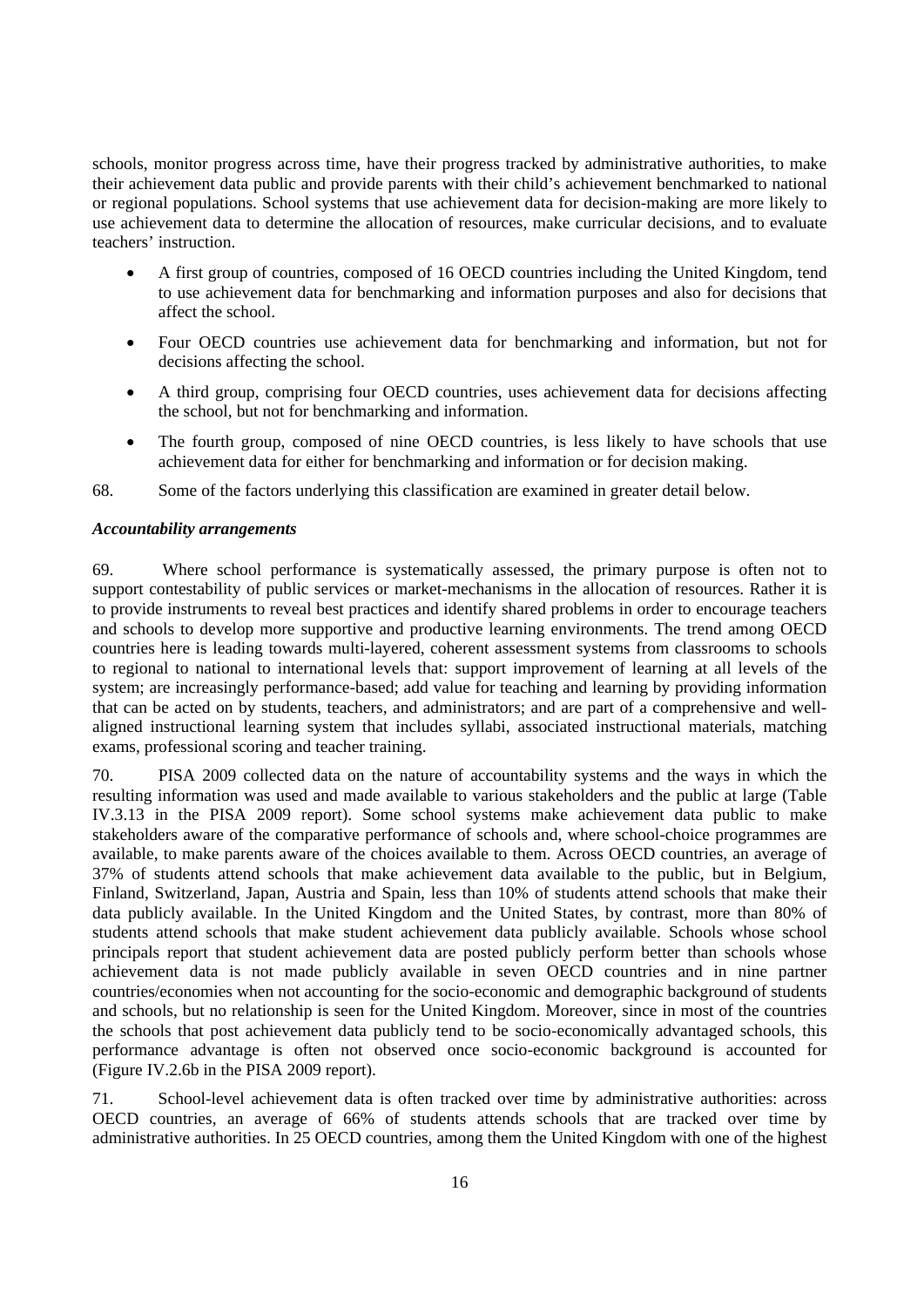schools, monitor progress across time, have their progress tracked by administrative authorities, to make their achievement data public and provide parents with their child's achievement benchmarked to national or regional populations. School systems that use achievement data for decision-making are more likely to use achievement data to determine the allocation of resources, make curricular decisions, and to evaluate teachers' instruction.

- A first group of countries, composed of 16 OECD countries including the United Kingdom, tend to use achievement data for benchmarking and information purposes and also for decisions that affect the school.
- Four OECD countries use achievement data for benchmarking and information, but not for decisions affecting the school.
- A third group, comprising four OECD countries, uses achievement data for decisions affecting the school, but not for benchmarking and information.
- The fourth group, composed of nine OECD countries, is less likely to have schools that use achievement data for either for benchmarking and information or for decision making.

68. Some of the factors underlying this classification are examined in greater detail below.

### *Accountability arrangements*

69. Where school performance is systematically assessed, the primary purpose is often not to support contestability of public services or market-mechanisms in the allocation of resources. Rather it is to provide instruments to reveal best practices and identify shared problems in order to encourage teachers and schools to develop more supportive and productive learning environments. The trend among OECD countries here is leading towards multi-layered, coherent assessment systems from classrooms to schools to regional to national to international levels that: support improvement of learning at all levels of the system; are increasingly performance-based; add value for teaching and learning by providing information that can be acted on by students, teachers, and administrators; and are part of a comprehensive and wellaligned instructional learning system that includes syllabi, associated instructional materials, matching exams, professional scoring and teacher training.

70. PISA 2009 collected data on the nature of accountability systems and the ways in which the resulting information was used and made available to various stakeholders and the public at large (Table IV.3.13 in the PISA 2009 report). Some school systems make achievement data public to make stakeholders aware of the comparative performance of schools and, where school-choice programmes are available, to make parents aware of the choices available to them. Across OECD countries, an average of 37% of students attend schools that make achievement data available to the public, but in Belgium, Finland, Switzerland, Japan, Austria and Spain, less than 10% of students attend schools that make their data publicly available. In the United Kingdom and the United States, by contrast, more than 80% of students attend schools that make student achievement data publicly available. Schools whose school principals report that student achievement data are posted publicly perform better than schools whose achievement data is not made publicly available in seven OECD countries and in nine partner countries/economies when not accounting for the socio-economic and demographic background of students and schools, but no relationship is seen for the United Kingdom. Moreover, since in most of the countries the schools that post achievement data publicly tend to be socio-economically advantaged schools, this performance advantage is often not observed once socio-economic background is accounted for (Figure IV.2.6b in the PISA 2009 report).

71. School-level achievement data is often tracked over time by administrative authorities: across OECD countries, an average of 66% of students attends schools that are tracked over time by administrative authorities. In 25 OECD countries, among them the United Kingdom with one of the highest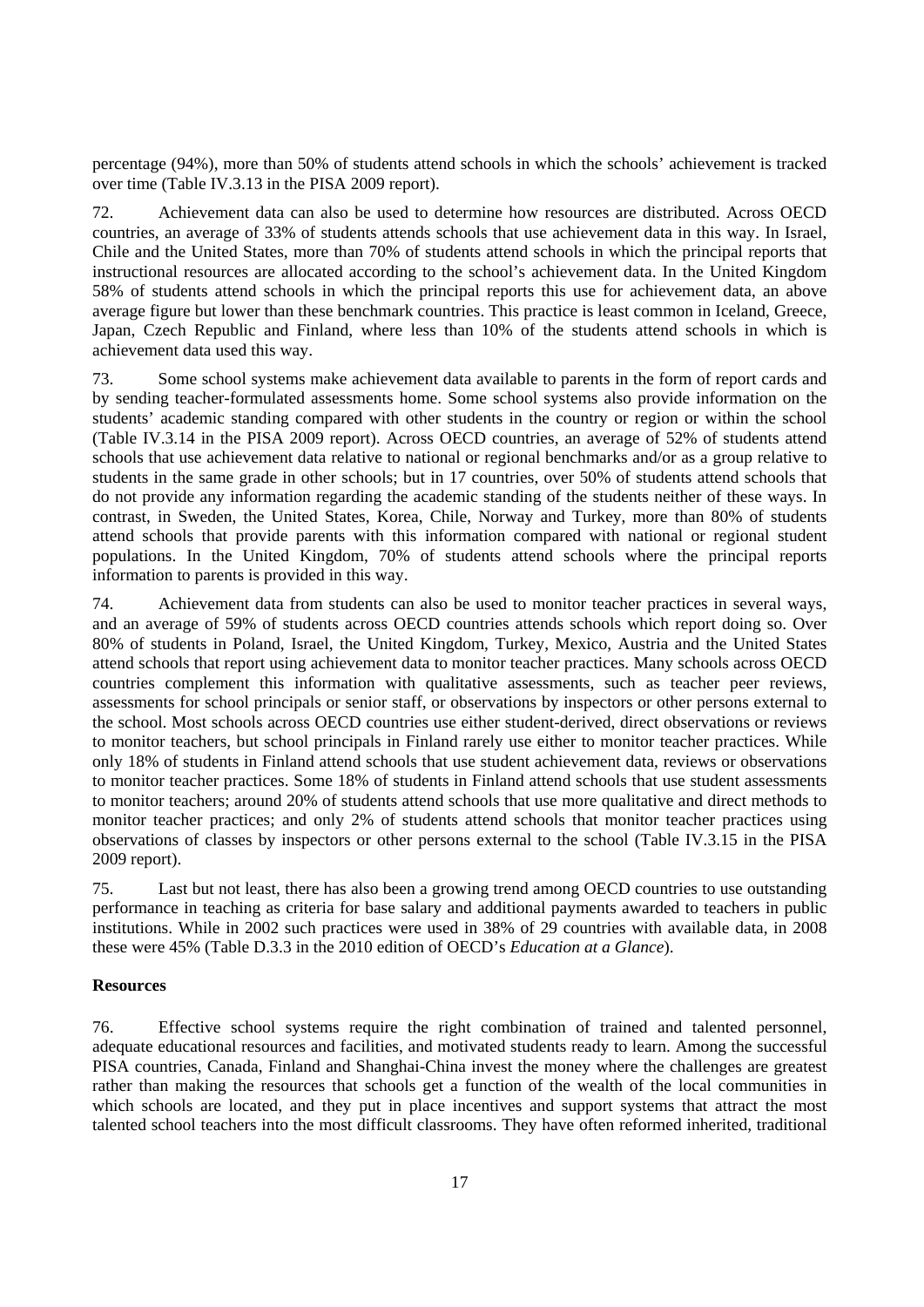percentage (94%), more than 50% of students attend schools in which the schools' achievement is tracked over time (Table IV.3.13 in the PISA 2009 report).

72. Achievement data can also be used to determine how resources are distributed. Across OECD countries, an average of 33% of students attends schools that use achievement data in this way. In Israel, Chile and the United States, more than 70% of students attend schools in which the principal reports that instructional resources are allocated according to the school's achievement data. In the United Kingdom 58% of students attend schools in which the principal reports this use for achievement data, an above average figure but lower than these benchmark countries. This practice is least common in Iceland, Greece, Japan, Czech Republic and Finland, where less than 10% of the students attend schools in which is achievement data used this way.

73. Some school systems make achievement data available to parents in the form of report cards and by sending teacher-formulated assessments home. Some school systems also provide information on the students' academic standing compared with other students in the country or region or within the school (Table IV.3.14 in the PISA 2009 report). Across OECD countries, an average of 52% of students attend schools that use achievement data relative to national or regional benchmarks and/or as a group relative to students in the same grade in other schools; but in 17 countries, over 50% of students attend schools that do not provide any information regarding the academic standing of the students neither of these ways. In contrast, in Sweden, the United States, Korea, Chile, Norway and Turkey, more than 80% of students attend schools that provide parents with this information compared with national or regional student populations. In the United Kingdom, 70% of students attend schools where the principal reports information to parents is provided in this way.

74. Achievement data from students can also be used to monitor teacher practices in several ways, and an average of 59% of students across OECD countries attends schools which report doing so. Over 80% of students in Poland, Israel, the United Kingdom, Turkey, Mexico, Austria and the United States attend schools that report using achievement data to monitor teacher practices. Many schools across OECD countries complement this information with qualitative assessments, such as teacher peer reviews, assessments for school principals or senior staff, or observations by inspectors or other persons external to the school. Most schools across OECD countries use either student-derived, direct observations or reviews to monitor teachers, but school principals in Finland rarely use either to monitor teacher practices. While only 18% of students in Finland attend schools that use student achievement data, reviews or observations to monitor teacher practices. Some 18% of students in Finland attend schools that use student assessments to monitor teachers; around 20% of students attend schools that use more qualitative and direct methods to monitor teacher practices; and only 2% of students attend schools that monitor teacher practices using observations of classes by inspectors or other persons external to the school (Table IV.3.15 in the PISA 2009 report).

75. Last but not least, there has also been a growing trend among OECD countries to use outstanding performance in teaching as criteria for base salary and additional payments awarded to teachers in public institutions. While in 2002 such practices were used in 38% of 29 countries with available data, in 2008 these were 45% (Table D.3.3 in the 2010 edition of OECD's *Education at a Glance*).

### **Resources**

76. Effective school systems require the right combination of trained and talented personnel, adequate educational resources and facilities, and motivated students ready to learn. Among the successful PISA countries, Canada, Finland and Shanghai-China invest the money where the challenges are greatest rather than making the resources that schools get a function of the wealth of the local communities in which schools are located, and they put in place incentives and support systems that attract the most talented school teachers into the most difficult classrooms. They have often reformed inherited, traditional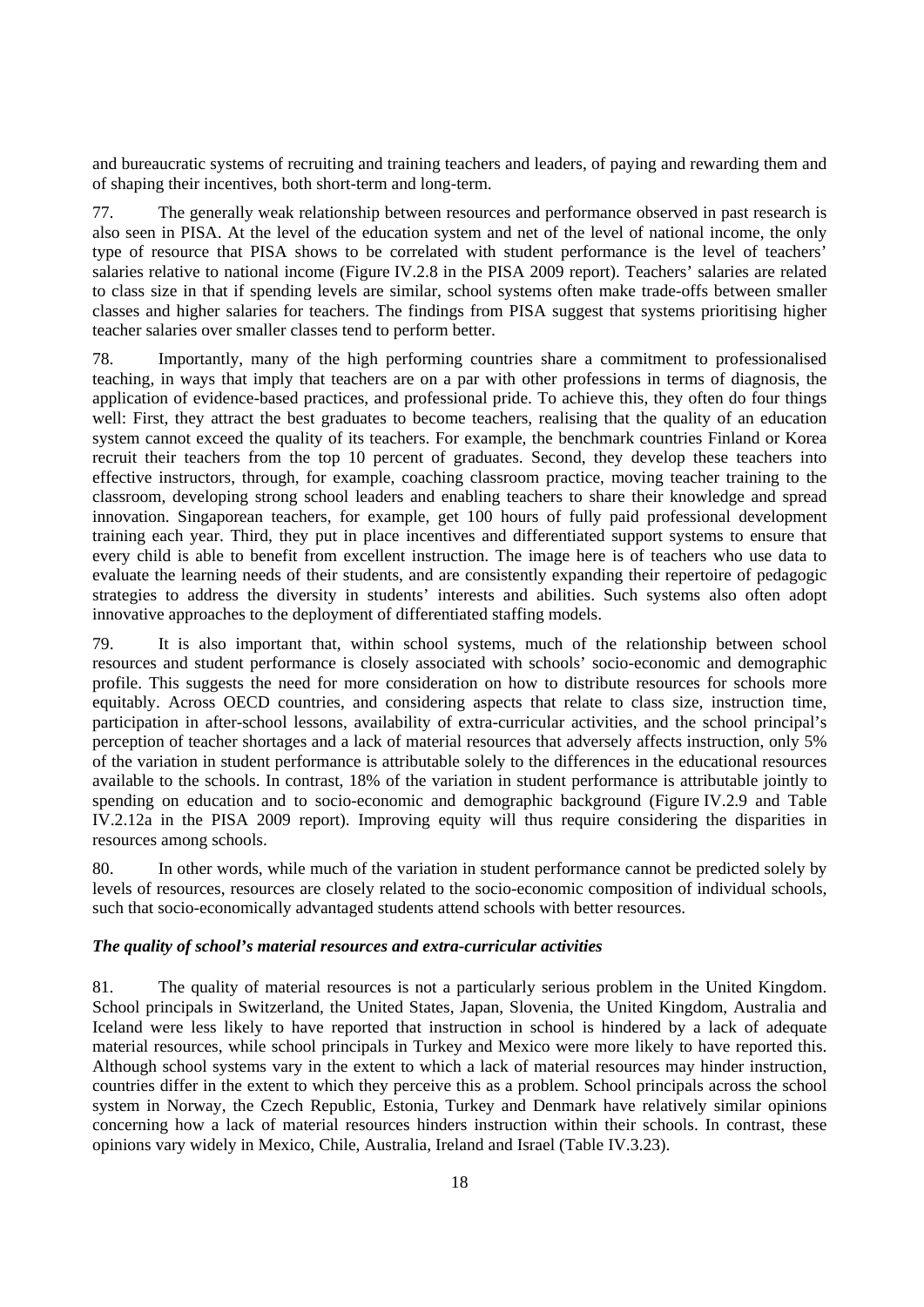and bureaucratic systems of recruiting and training teachers and leaders, of paying and rewarding them and of shaping their incentives, both short-term and long-term.

77. The generally weak relationship between resources and performance observed in past research is also seen in PISA. At the level of the education system and net of the level of national income, the only type of resource that PISA shows to be correlated with student performance is the level of teachers' salaries relative to national income (Figure IV.2.8 in the PISA 2009 report). Teachers' salaries are related to class size in that if spending levels are similar, school systems often make trade-offs between smaller classes and higher salaries for teachers. The findings from PISA suggest that systems prioritising higher teacher salaries over smaller classes tend to perform better.

78. Importantly, many of the high performing countries share a commitment to professionalised teaching, in ways that imply that teachers are on a par with other professions in terms of diagnosis, the application of evidence-based practices, and professional pride. To achieve this, they often do four things well: First, they attract the best graduates to become teachers, realising that the quality of an education system cannot exceed the quality of its teachers. For example, the benchmark countries Finland or Korea recruit their teachers from the top 10 percent of graduates. Second, they develop these teachers into effective instructors, through, for example, coaching classroom practice, moving teacher training to the classroom, developing strong school leaders and enabling teachers to share their knowledge and spread innovation. Singaporean teachers, for example, get 100 hours of fully paid professional development training each year. Third, they put in place incentives and differentiated support systems to ensure that every child is able to benefit from excellent instruction. The image here is of teachers who use data to evaluate the learning needs of their students, and are consistently expanding their repertoire of pedagogic strategies to address the diversity in students' interests and abilities. Such systems also often adopt innovative approaches to the deployment of differentiated staffing models.

79. It is also important that, within school systems, much of the relationship between school resources and student performance is closely associated with schools' socio-economic and demographic profile. This suggests the need for more consideration on how to distribute resources for schools more equitably. Across OECD countries, and considering aspects that relate to class size, instruction time, participation in after-school lessons, availability of extra-curricular activities, and the school principal's perception of teacher shortages and a lack of material resources that adversely affects instruction, only 5% of the variation in student performance is attributable solely to the differences in the educational resources available to the schools. In contrast, 18% of the variation in student performance is attributable jointly to spending on education and to socio-economic and demographic background (Figure IV.2.9 and Table IV.2.12a in the PISA 2009 report). Improving equity will thus require considering the disparities in resources among schools.

80. In other words, while much of the variation in student performance cannot be predicted solely by levels of resources, resources are closely related to the socio-economic composition of individual schools, such that socio-economically advantaged students attend schools with better resources.

### *The quality of school's material resources and extra-curricular activities*

81. The quality of material resources is not a particularly serious problem in the United Kingdom. School principals in Switzerland, the United States, Japan, Slovenia, the United Kingdom, Australia and Iceland were less likely to have reported that instruction in school is hindered by a lack of adequate material resources, while school principals in Turkey and Mexico were more likely to have reported this. Although school systems vary in the extent to which a lack of material resources may hinder instruction, countries differ in the extent to which they perceive this as a problem. School principals across the school system in Norway, the Czech Republic, Estonia, Turkey and Denmark have relatively similar opinions concerning how a lack of material resources hinders instruction within their schools. In contrast, these opinions vary widely in Mexico, Chile, Australia, Ireland and Israel (Table IV.3.23).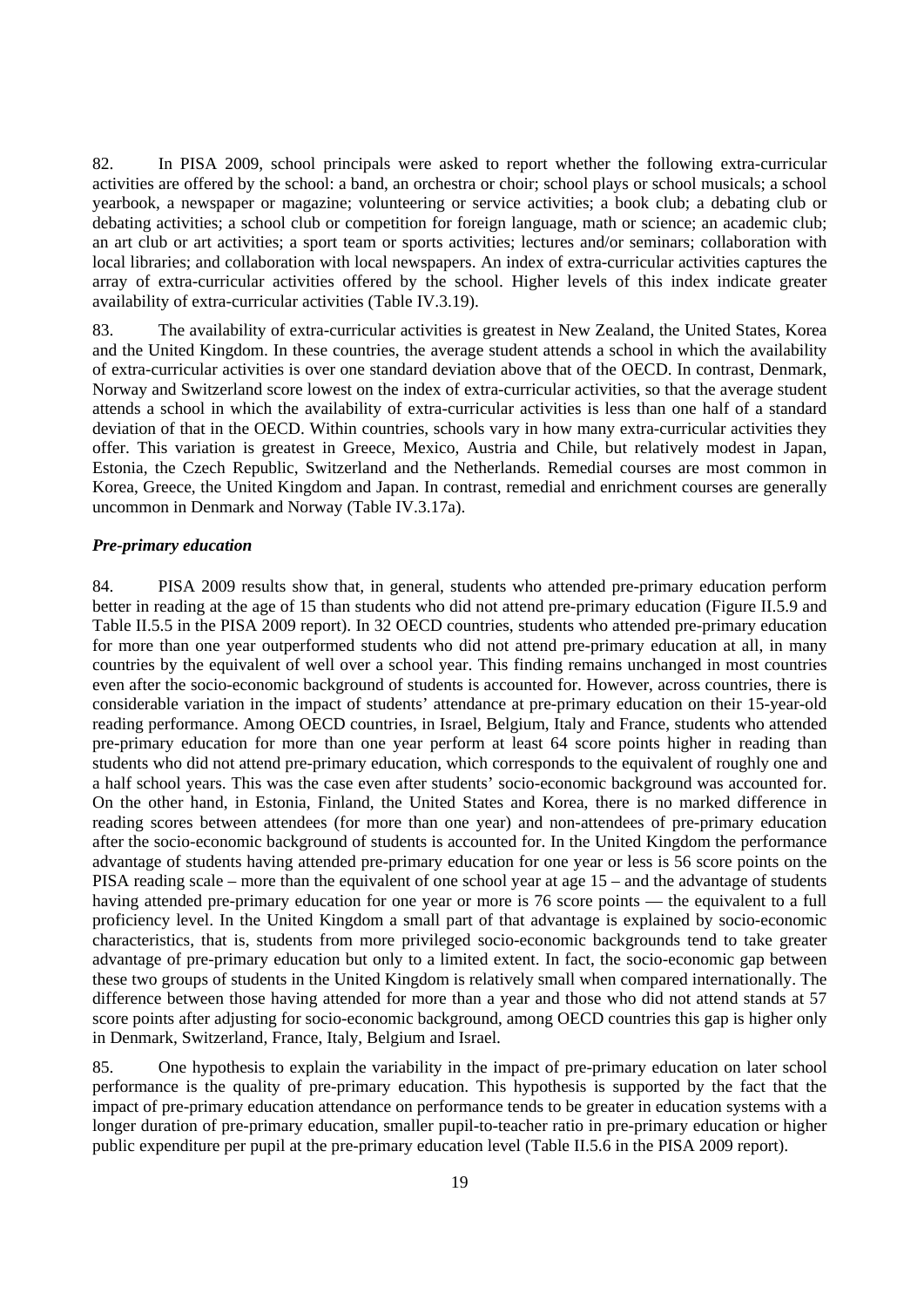82. In PISA 2009, school principals were asked to report whether the following extra-curricular activities are offered by the school: a band, an orchestra or choir; school plays or school musicals; a school yearbook, a newspaper or magazine; volunteering or service activities; a book club; a debating club or debating activities; a school club or competition for foreign language, math or science; an academic club; an art club or art activities; a sport team or sports activities; lectures and/or seminars; collaboration with local libraries; and collaboration with local newspapers. An index of extra-curricular activities captures the array of extra-curricular activities offered by the school. Higher levels of this index indicate greater availability of extra-curricular activities (Table IV.3.19).

83. The availability of extra-curricular activities is greatest in New Zealand, the United States, Korea and the United Kingdom. In these countries, the average student attends a school in which the availability of extra-curricular activities is over one standard deviation above that of the OECD. In contrast, Denmark, Norway and Switzerland score lowest on the index of extra-curricular activities, so that the average student attends a school in which the availability of extra-curricular activities is less than one half of a standard deviation of that in the OECD. Within countries, schools vary in how many extra-curricular activities they offer. This variation is greatest in Greece, Mexico, Austria and Chile, but relatively modest in Japan, Estonia, the Czech Republic, Switzerland and the Netherlands. Remedial courses are most common in Korea, Greece, the United Kingdom and Japan. In contrast, remedial and enrichment courses are generally uncommon in Denmark and Norway (Table IV.3.17a).

### *Pre-primary education*

84. PISA 2009 results show that, in general, students who attended pre-primary education perform better in reading at the age of 15 than students who did not attend pre-primary education (Figure II.5.9 and Table II.5.5 in the PISA 2009 report). In 32 OECD countries, students who attended pre-primary education for more than one year outperformed students who did not attend pre-primary education at all, in many countries by the equivalent of well over a school year. This finding remains unchanged in most countries even after the socio-economic background of students is accounted for. However, across countries, there is considerable variation in the impact of students' attendance at pre-primary education on their 15-year-old reading performance. Among OECD countries, in Israel, Belgium, Italy and France, students who attended pre-primary education for more than one year perform at least 64 score points higher in reading than students who did not attend pre-primary education, which corresponds to the equivalent of roughly one and a half school years. This was the case even after students' socio-economic background was accounted for. On the other hand, in Estonia, Finland, the United States and Korea, there is no marked difference in reading scores between attendees (for more than one year) and non-attendees of pre-primary education after the socio-economic background of students is accounted for. In the United Kingdom the performance advantage of students having attended pre-primary education for one year or less is 56 score points on the PISA reading scale – more than the equivalent of one school year at age 15 – and the advantage of students having attended pre-primary education for one year or more is 76 score points — the equivalent to a full proficiency level. In the United Kingdom a small part of that advantage is explained by socio-economic characteristics, that is, students from more privileged socio-economic backgrounds tend to take greater advantage of pre-primary education but only to a limited extent. In fact, the socio-economic gap between these two groups of students in the United Kingdom is relatively small when compared internationally. The difference between those having attended for more than a year and those who did not attend stands at 57 score points after adjusting for socio-economic background, among OECD countries this gap is higher only in Denmark, Switzerland, France, Italy, Belgium and Israel.

85. One hypothesis to explain the variability in the impact of pre-primary education on later school performance is the quality of pre-primary education. This hypothesis is supported by the fact that the impact of pre-primary education attendance on performance tends to be greater in education systems with a longer duration of pre-primary education, smaller pupil-to-teacher ratio in pre-primary education or higher public expenditure per pupil at the pre-primary education level (Table II.5.6 in the PISA 2009 report).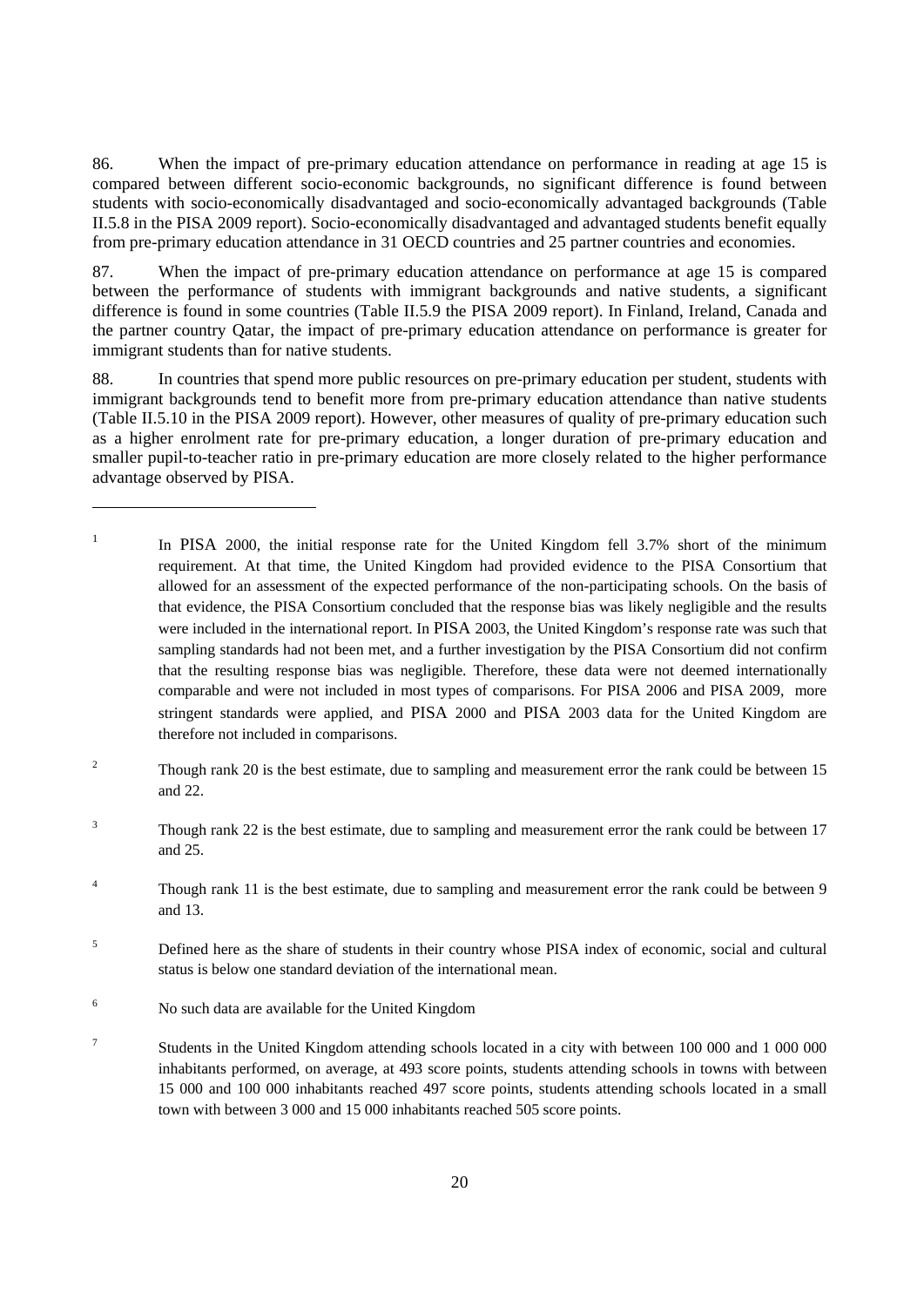86. When the impact of pre-primary education attendance on performance in reading at age 15 is compared between different socio-economic backgrounds, no significant difference is found between students with socio-economically disadvantaged and socio-economically advantaged backgrounds (Table II.5.8 in the PISA 2009 report). Socio-economically disadvantaged and advantaged students benefit equally from pre-primary education attendance in 31 OECD countries and 25 partner countries and economies.

<span id="page-19-1"></span>87. When the impact of pre-primary education attendance on performance at age 15 is compared between the performance of students with immigrant backgrounds and native students, a significant difference is found in some countries (Table II.5.9 the PISA 2009 report). In Finland, Ireland, Canada and the partner country Qatar, the impact of pre-primary education attendance on performance is greater for immigrant students than for native students.

88. In countries that spend more public resources on pre-primary education per student, students with immigrant backgrounds tend to benefit more from pre-primary education attendance than native students (Table II.5.10 in the PISA 2009 report). However, other measures of quality of pre-primary education such as a higher enrolment rate for pre-primary education, a longer duration of pre-primary education and smaller pupil-to-teacher ratio in pre-primary education are more closely related to the higher performance advantage observed by PISA.

<span id="page-19-0"></span>1 In PISA 2000, the initial response rate for the United Kingdom fell 3.7% short of the minimum requirement. At that time, the United Kingdom had provided evidence to the PISA Consortium that allowed for an assessment of the expected performance of the non-participating schools. On the basis of that evidence, the PISA Consortium concluded that the response bias was likely negligible and the results were included in the international report. In PISA 2003, the United Kingdom's response rate was such that sampling standards had not been met, and a further investigation by the PISA Consortium did not confirm that the resulting response bias was negligible. Therefore, these data were not deemed internationally comparable and were not included in most types of comparisons. For PISA 2006 and PISA 2009, more stringent standards were applied, and PISA 2000 and PISA 2003 data for the United Kingdom are therefore not included in comparisons.

- 2 Though rank 20 is the best estimate, due to sampling and measurement error the rank could be between 15 and 22.
- 3 Though rank 22 is the best estimate, due to sampling and measurement error the rank could be between 17 and 25.
- 4 Though rank 11 is the best estimate, due to sampling and measurement error the rank could be between 9 and 13.
- 5 Defined here as the share of students in their country whose PISA index of economic, social and cultural status is below one standard deviation of the international mean.
- 6 No such data are available for the United Kingdom

-

7 Students in the United Kingdom attending schools located in a city with between 100 000 and 1 000 000 inhabitants performed, on average, at 493 score points, students attending schools in towns with between 15 000 and 100 000 inhabitants reached 497 score points, students attending schools located in a small town with between 3 000 and 15 000 inhabitants reached 505 score points.